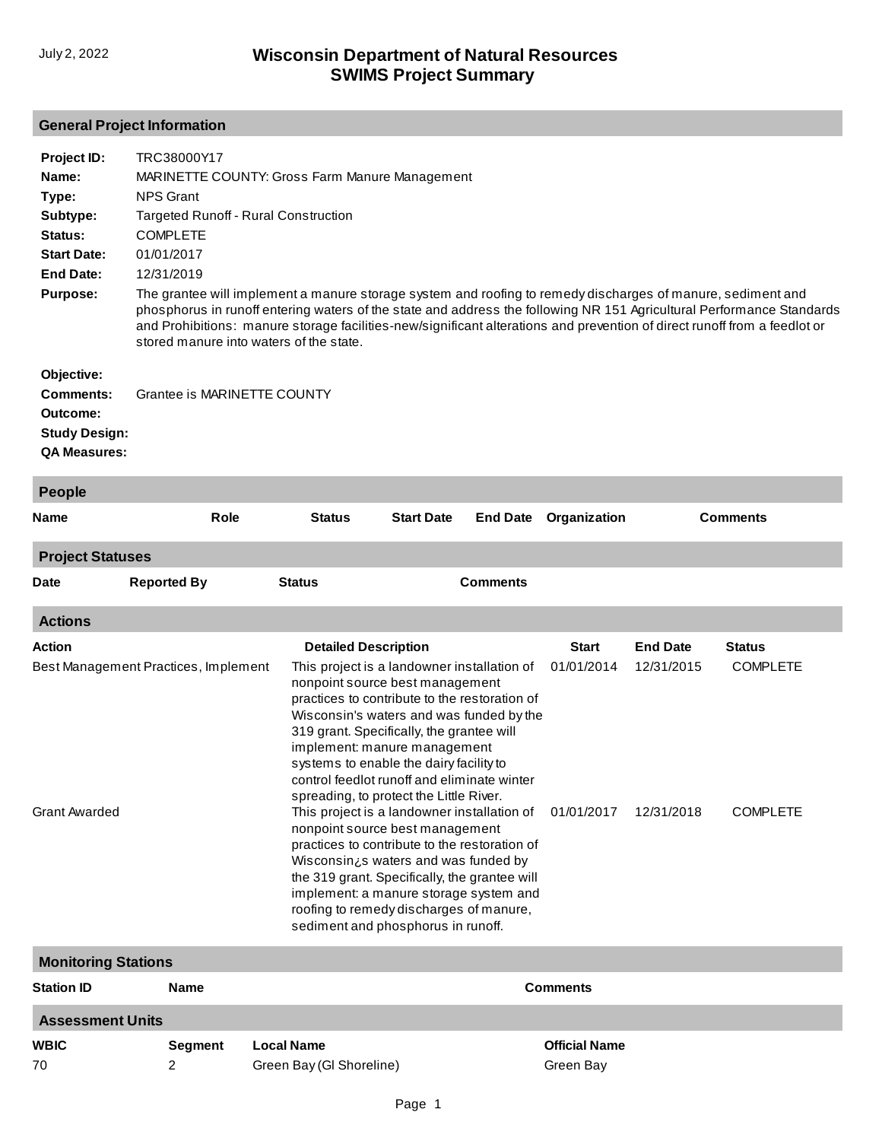# **General Project Information**

| Project ID:<br>Name:<br>Type: | TRC38000Y17<br>MARINETTE COUNTY: Gross Farm Manure Management<br><b>NPS Grant</b>                           |                                                                                                                                                                                                                                                                                                                                                                                                                                                                                                                                                                                                                                                                                                                                                      |                   |                 |                          |                          |                                    |  |  |
|-------------------------------|-------------------------------------------------------------------------------------------------------------|------------------------------------------------------------------------------------------------------------------------------------------------------------------------------------------------------------------------------------------------------------------------------------------------------------------------------------------------------------------------------------------------------------------------------------------------------------------------------------------------------------------------------------------------------------------------------------------------------------------------------------------------------------------------------------------------------------------------------------------------------|-------------------|-----------------|--------------------------|--------------------------|------------------------------------|--|--|
| Subtype:                      |                                                                                                             | <b>Targeted Runoff - Rural Construction</b>                                                                                                                                                                                                                                                                                                                                                                                                                                                                                                                                                                                                                                                                                                          |                   |                 |                          |                          |                                    |  |  |
| Status:                       | <b>COMPLETE</b>                                                                                             |                                                                                                                                                                                                                                                                                                                                                                                                                                                                                                                                                                                                                                                                                                                                                      |                   |                 |                          |                          |                                    |  |  |
| <b>Start Date:</b>            | 01/01/2017                                                                                                  |                                                                                                                                                                                                                                                                                                                                                                                                                                                                                                                                                                                                                                                                                                                                                      |                   |                 |                          |                          |                                    |  |  |
| <b>End Date:</b>              | 12/31/2019                                                                                                  |                                                                                                                                                                                                                                                                                                                                                                                                                                                                                                                                                                                                                                                                                                                                                      |                   |                 |                          |                          |                                    |  |  |
| <b>Purpose:</b>               | The grantee will implement a manure storage system and roofing to remedy discharges of manure, sediment and |                                                                                                                                                                                                                                                                                                                                                                                                                                                                                                                                                                                                                                                                                                                                                      |                   |                 |                          |                          |                                    |  |  |
|                               | stored manure into waters of the state.                                                                     | phosphorus in runoff entering waters of the state and address the following NR 151 Agricultural Performance Standards<br>and Prohibitions: manure storage facilities-new/significant alterations and prevention of direct runoff from a feedlot or                                                                                                                                                                                                                                                                                                                                                                                                                                                                                                   |                   |                 |                          |                          |                                    |  |  |
| Objective:                    |                                                                                                             |                                                                                                                                                                                                                                                                                                                                                                                                                                                                                                                                                                                                                                                                                                                                                      |                   |                 |                          |                          |                                    |  |  |
| <b>Comments:</b>              | Grantee is MARINETTE COUNTY                                                                                 |                                                                                                                                                                                                                                                                                                                                                                                                                                                                                                                                                                                                                                                                                                                                                      |                   |                 |                          |                          |                                    |  |  |
| Outcome:                      |                                                                                                             |                                                                                                                                                                                                                                                                                                                                                                                                                                                                                                                                                                                                                                                                                                                                                      |                   |                 |                          |                          |                                    |  |  |
| <b>Study Design:</b>          |                                                                                                             |                                                                                                                                                                                                                                                                                                                                                                                                                                                                                                                                                                                                                                                                                                                                                      |                   |                 |                          |                          |                                    |  |  |
| <b>QA Measures:</b>           |                                                                                                             |                                                                                                                                                                                                                                                                                                                                                                                                                                                                                                                                                                                                                                                                                                                                                      |                   |                 |                          |                          |                                    |  |  |
| <b>People</b>                 |                                                                                                             |                                                                                                                                                                                                                                                                                                                                                                                                                                                                                                                                                                                                                                                                                                                                                      |                   |                 |                          |                          |                                    |  |  |
| Name                          | <b>Role</b>                                                                                                 | <b>Status</b>                                                                                                                                                                                                                                                                                                                                                                                                                                                                                                                                                                                                                                                                                                                                        | <b>Start Date</b> | <b>End Date</b> | Organization             |                          | <b>Comments</b>                    |  |  |
| <b>Project Statuses</b>       |                                                                                                             |                                                                                                                                                                                                                                                                                                                                                                                                                                                                                                                                                                                                                                                                                                                                                      |                   |                 |                          |                          |                                    |  |  |
| Date                          | <b>Reported By</b>                                                                                          | <b>Status</b>                                                                                                                                                                                                                                                                                                                                                                                                                                                                                                                                                                                                                                                                                                                                        |                   | <b>Comments</b> |                          |                          |                                    |  |  |
| <b>Actions</b>                |                                                                                                             |                                                                                                                                                                                                                                                                                                                                                                                                                                                                                                                                                                                                                                                                                                                                                      |                   |                 |                          |                          |                                    |  |  |
| Action                        |                                                                                                             | <b>Detailed Description</b>                                                                                                                                                                                                                                                                                                                                                                                                                                                                                                                                                                                                                                                                                                                          |                   |                 | <b>Start</b>             | <b>End Date</b>          | <b>Status</b>                      |  |  |
| Grant Awarded                 | Best Management Practices, Implement                                                                        | This project is a landowner installation of<br>nonpoint source best management<br>practices to contribute to the restoration of<br>Wisconsin's waters and was funded by the<br>319 grant. Specifically, the grantee will<br>implement: manure management<br>systems to enable the dairy facility to<br>control feedlot runoff and eliminate winter<br>spreading, to protect the Little River.<br>This project is a landowner installation of<br>nonpoint source best management<br>practices to contribute to the restoration of<br>Wisconsin¿s waters and was funded by<br>the 319 grant. Specifically, the grantee will<br>implement: a manure storage system and<br>roofing to remedy discharges of manure,<br>sediment and phosphorus in runoff. |                   |                 | 01/01/2014<br>01/01/2017 | 12/31/2015<br>12/31/2018 | <b>COMPLETE</b><br><b>COMPLETE</b> |  |  |
| <b>Monitoring Stations</b>    |                                                                                                             |                                                                                                                                                                                                                                                                                                                                                                                                                                                                                                                                                                                                                                                                                                                                                      |                   |                 |                          |                          |                                    |  |  |
| Station ID                    | Name                                                                                                        |                                                                                                                                                                                                                                                                                                                                                                                                                                                                                                                                                                                                                                                                                                                                                      |                   |                 | <b>Comments</b>          |                          |                                    |  |  |
|                               |                                                                                                             |                                                                                                                                                                                                                                                                                                                                                                                                                                                                                                                                                                                                                                                                                                                                                      |                   |                 |                          |                          |                                    |  |  |
| <b>Assessment Units</b>       |                                                                                                             |                                                                                                                                                                                                                                                                                                                                                                                                                                                                                                                                                                                                                                                                                                                                                      |                   |                 |                          |                          |                                    |  |  |
| WBIC                          | Segment                                                                                                     | <b>Local Name</b>                                                                                                                                                                                                                                                                                                                                                                                                                                                                                                                                                                                                                                                                                                                                    |                   |                 | <b>Official Name</b>     |                          |                                    |  |  |
| 70                            | 2                                                                                                           | Green Bay (GI Shoreline)                                                                                                                                                                                                                                                                                                                                                                                                                                                                                                                                                                                                                                                                                                                             |                   |                 | Green Bay                |                          |                                    |  |  |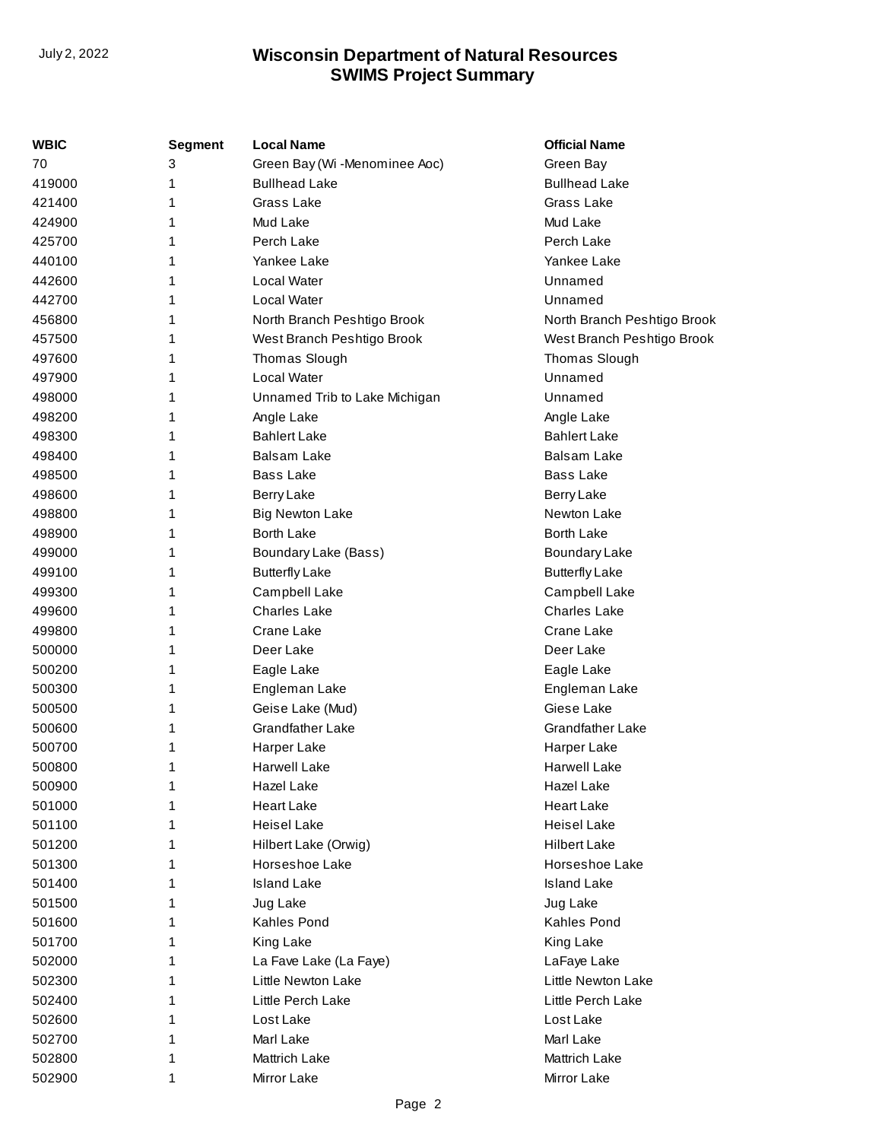| <b>WBIC</b> | <b>Segment</b> | <b>Local Name</b>             | <b>Official Name</b>        |
|-------------|----------------|-------------------------------|-----------------------------|
| 70          | 3              | Green Bay (Wi -Menominee Aoc) | Green Bay                   |
| 419000      | 1              | <b>Bullhead Lake</b>          | <b>Bullhead Lake</b>        |
| 421400      | 1              | Grass Lake                    | Grass Lake                  |
| 424900      | 1              | Mud Lake                      | Mud Lake                    |
| 425700      | 1              | Perch Lake                    | Perch Lake                  |
| 440100      |                | Yankee Lake                   | Yankee Lake                 |
| 442600      |                | Local Water                   | Unnamed                     |
| 442700      | 1              | <b>Local Water</b>            | Unnamed                     |
| 456800      | 1              | North Branch Peshtigo Brook   | North Branch Peshtigo Brook |
| 457500      | 1              | West Branch Peshtigo Brook    | West Branch Peshtigo Brook  |
| 497600      | 1              | Thomas Slough                 | Thomas Slough               |
| 497900      | 1              | Local Water                   | Unnamed                     |
| 498000      | 1              | Unnamed Trib to Lake Michigan | Unnamed                     |
| 498200      | 1              | Angle Lake                    | Angle Lake                  |
| 498300      |                | <b>Bahlert Lake</b>           | <b>Bahlert Lake</b>         |
| 498400      | 1              | Balsam Lake                   | Balsam Lake                 |
| 498500      | 1              | <b>Bass Lake</b>              | <b>Bass Lake</b>            |
| 498600      | 1              | Berry Lake                    | <b>Berry Lake</b>           |
| 498800      | 1              | <b>Big Newton Lake</b>        | Newton Lake                 |
| 498900      | 1              | <b>Borth Lake</b>             | <b>Borth Lake</b>           |
| 499000      | 1              | Boundary Lake (Bass)          | <b>Boundary Lake</b>        |
| 499100      | 1              | <b>Butterfly Lake</b>         | <b>Butterfly Lake</b>       |
| 499300      |                | Campbell Lake                 | Campbell Lake               |
| 499600      | 1              | <b>Charles Lake</b>           | <b>Charles Lake</b>         |
| 499800      | 1              | Crane Lake                    | Crane Lake                  |
| 500000      | 1              | Deer Lake                     | Deer Lake                   |
| 500200      | 1              | Eagle Lake                    | Eagle Lake                  |
| 500300      | 1              | Engleman Lake                 | Engleman Lake               |
| 500500      | 1              | Geise Lake (Mud)              | Giese Lake                  |
| 500600      | 1              | <b>Grandfather Lake</b>       | <b>Grandfather Lake</b>     |
| 500700      |                | Harper Lake                   | Harper Lake                 |
| 500800      | 1              | <b>Harwell Lake</b>           | <b>Harwell Lake</b>         |
| 500900      | 1              | Hazel Lake                    | Hazel Lake                  |
| 501000      |                | <b>Heart Lake</b>             | <b>Heart Lake</b>           |
| 501100      |                | <b>Heisel Lake</b>            | <b>Heisel Lake</b>          |
| 501200      |                | Hilbert Lake (Orwig)          | <b>Hilbert Lake</b>         |
| 501300      |                | Horseshoe Lake                | Horseshoe Lake              |
| 501400      |                | <b>Island Lake</b>            | <b>Island Lake</b>          |
| 501500      |                | Jug Lake                      | Jug Lake                    |
| 501600      |                | Kahles Pond                   | <b>Kahles Pond</b>          |
| 501700      |                | King Lake                     | King Lake                   |
| 502000      |                | La Fave Lake (La Faye)        | LaFaye Lake                 |
| 502300      |                | Little Newton Lake            | Little Newton Lake          |
| 502400      |                | Little Perch Lake             | Little Perch Lake           |
| 502600      |                | Lost Lake                     | Lost Lake                   |
| 502700      |                | Marl Lake                     | Marl Lake                   |
| 502800      |                | Mattrich Lake                 | <b>Mattrich Lake</b>        |
| 502900      | 1              | Mirror Lake                   | Mirror Lake                 |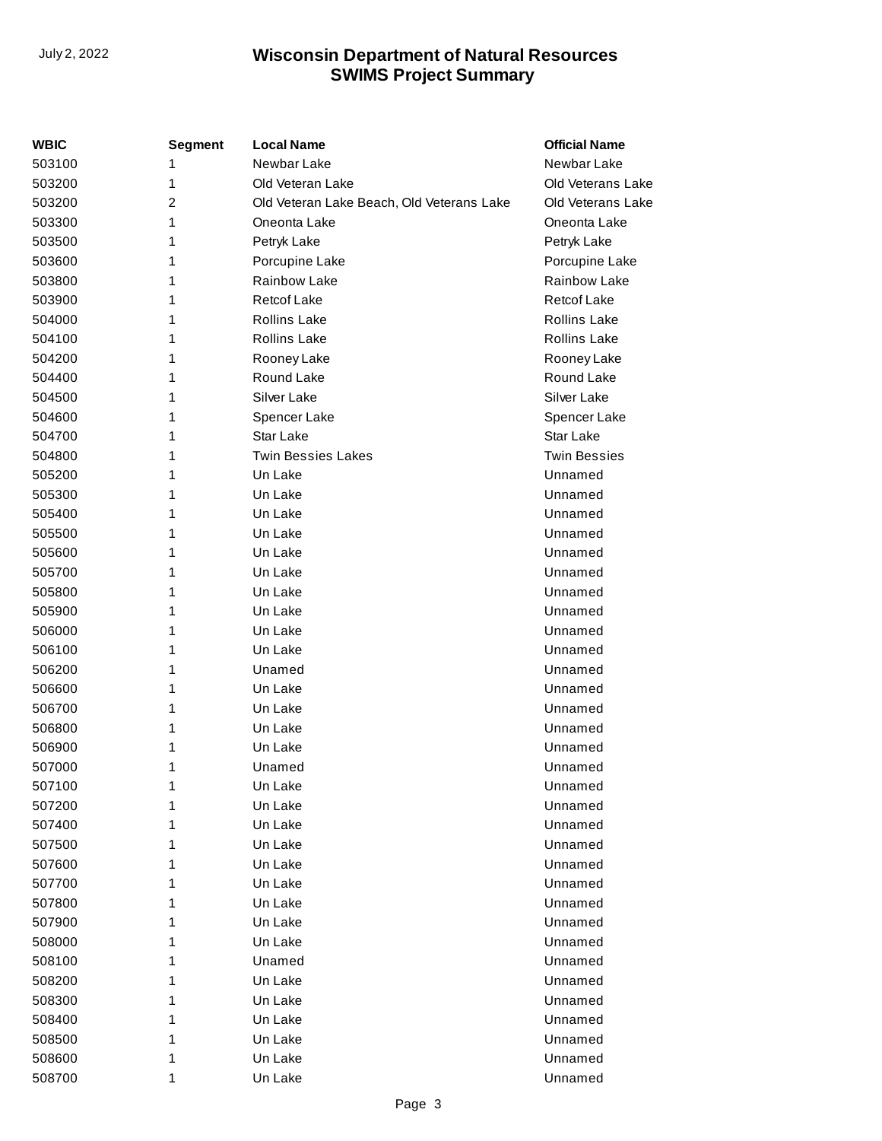| WBIC   | <b>Segment</b> | <b>Local Name</b>                         | <b>Official Name</b> |
|--------|----------------|-------------------------------------------|----------------------|
| 503100 | 1              | Newbar Lake                               | Newbar Lake          |
| 503200 | 1              | Old Veteran Lake                          | Old Veterans Lake    |
| 503200 | 2              | Old Veteran Lake Beach, Old Veterans Lake | Old Veterans Lake    |
| 503300 | 1              | Oneonta Lake                              | Oneonta Lake         |
| 503500 | 1              | Petryk Lake                               | Petryk Lake          |
| 503600 | 1              | Porcupine Lake                            | Porcupine Lake       |
| 503800 | 1              | Rainbow Lake                              | Rainbow Lake         |
| 503900 | 1              | <b>Retcof Lake</b>                        | <b>Retcof Lake</b>   |
| 504000 | 1              | <b>Rollins Lake</b>                       | <b>Rollins Lake</b>  |
| 504100 | 1              | <b>Rollins Lake</b>                       | <b>Rollins Lake</b>  |
| 504200 | 1              | Rooney Lake                               | Rooney Lake          |
| 504400 | 1              | Round Lake                                | Round Lake           |
| 504500 | 1              | Silver Lake                               | Silver Lake          |
| 504600 | 1              | Spencer Lake                              | Spencer Lake         |
| 504700 | 1              | Star Lake                                 | Star Lake            |
| 504800 | 1              | <b>Twin Bessies Lakes</b>                 | <b>Twin Bessies</b>  |
| 505200 | 1              | Un Lake                                   | Unnamed              |
| 505300 | 1              | Un Lake                                   | Unnamed              |
| 505400 | 1              | Un Lake                                   | Unnamed              |
| 505500 | 1              | Un Lake                                   | Unnamed              |
| 505600 | 1              | Un Lake                                   | Unnamed              |
| 505700 | 1              | Un Lake                                   | Unnamed              |
| 505800 | 1              | Un Lake                                   | Unnamed              |
| 505900 | 1              | Un Lake                                   | Unnamed              |
| 506000 | 1              | Un Lake                                   | Unnamed              |
| 506100 | 1              | Un Lake                                   | Unnamed              |
| 506200 | 1              | Unamed                                    | Unnamed              |
| 506600 | 1              | Un Lake                                   | Unnamed              |
| 506700 | 1              | Un Lake                                   | Unnamed              |
| 506800 | 1              | Un Lake                                   | Unnamed              |
| 506900 | 1              | Un Lake                                   | Unnamed              |
| 507000 | 1              | Unamed                                    | Unnamed              |
| 507100 | 1              | Un Lake                                   | Unnamed              |
| 507200 | 1              | Un Lake                                   | Unnamed              |
| 507400 | 1              | Un Lake                                   | Unnamed              |
| 507500 | 1              | Un Lake                                   | Unnamed              |
| 507600 | 1              | Un Lake                                   | Unnamed              |
| 507700 | 1              | Un Lake                                   | Unnamed              |
| 507800 | 1              | Un Lake                                   | Unnamed              |
| 507900 | 1              | Un Lake                                   | Unnamed              |
| 508000 | 1              | Un Lake                                   | Unnamed              |
| 508100 | 1              | Unamed                                    | Unnamed              |
| 508200 | 1              | Un Lake                                   | Unnamed              |
| 508300 | 1              | Un Lake                                   | Unnamed              |
| 508400 | 1              | Un Lake                                   | Unnamed              |
| 508500 | 1              | Un Lake                                   | Unnamed              |
| 508600 | 1              | Un Lake                                   | Unnamed              |
| 508700 | 1              | Un Lake                                   | Unnamed              |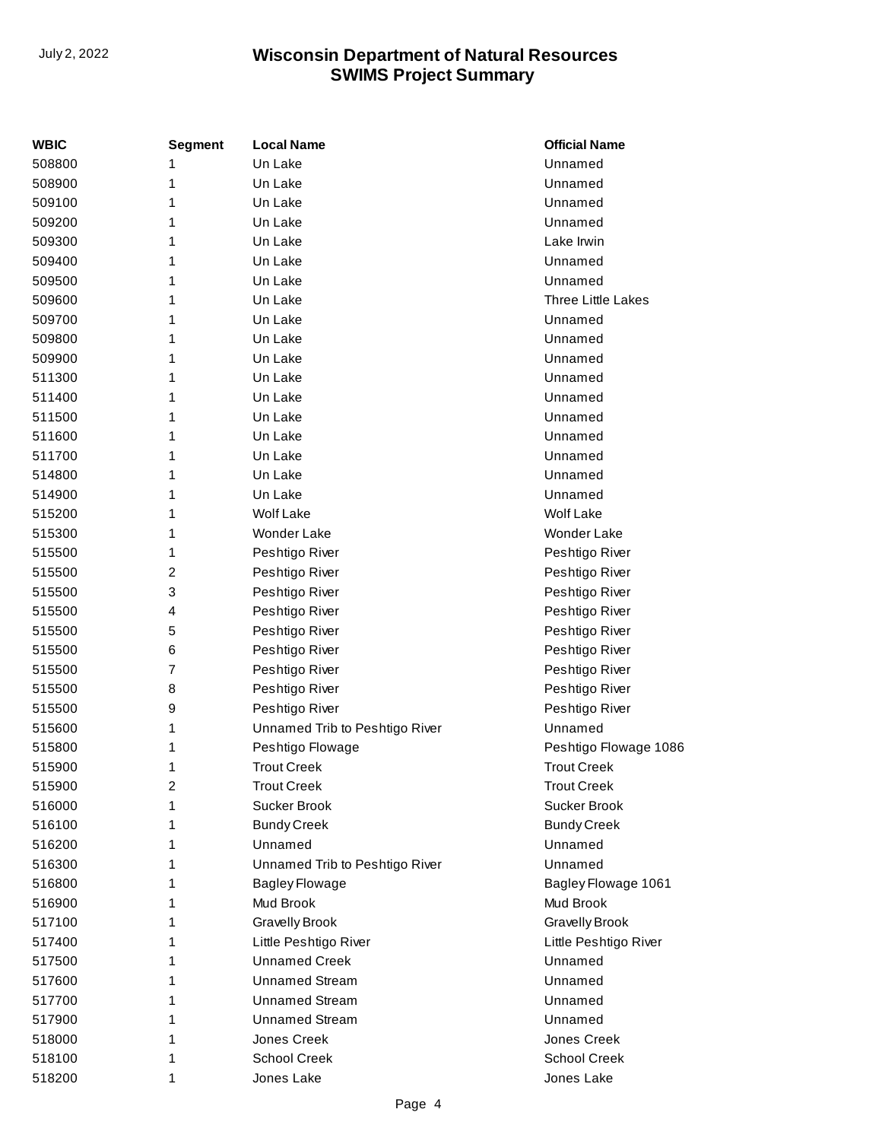| <b>WBIC</b> | Segment | <b>Local Name</b>              | <b>Official Name</b>  |
|-------------|---------|--------------------------------|-----------------------|
| 508800      | 1       | Un Lake                        | Unnamed               |
| 508900      | 1       | Un Lake                        | Unnamed               |
| 509100      | 1       | Un Lake                        | Unnamed               |
| 509200      | 1       | Un Lake                        | Unnamed               |
| 509300      | 1       | Un Lake                        | Lake Irwin            |
| 509400      | 1       | Un Lake                        | Unnamed               |
| 509500      | 1       | Un Lake                        | Unnamed               |
| 509600      | 1       | Un Lake                        | Three Little Lakes    |
| 509700      | 1       | Un Lake                        | Unnamed               |
| 509800      | 1       | Un Lake                        | Unnamed               |
| 509900      | 1       | Un Lake                        | Unnamed               |
| 511300      | 1       | Un Lake                        | Unnamed               |
| 511400      | 1       | Un Lake                        | Unnamed               |
| 511500      | 1       | Un Lake                        | Unnamed               |
| 511600      | 1       | Un Lake                        | Unnamed               |
| 511700      | 1       | Un Lake                        | Unnamed               |
| 514800      | 1       | Un Lake                        | Unnamed               |
| 514900      | 1       | Un Lake                        | Unnamed               |
| 515200      | 1       | <b>Wolf Lake</b>               | <b>Wolf Lake</b>      |
| 515300      | 1       | Wonder Lake                    | Wonder Lake           |
| 515500      | 1       | Peshtigo River                 | Peshtigo River        |
| 515500      | 2       | Peshtigo River                 | Peshtigo River        |
| 515500      | 3       | Peshtigo River                 | Peshtigo River        |
| 515500      | 4       | Peshtigo River                 | Peshtigo River        |
| 515500      | 5       | Peshtigo River                 | Peshtigo River        |
| 515500      | 6       | Peshtigo River                 | Peshtigo River        |
| 515500      | 7       | Peshtigo River                 | Peshtigo River        |
| 515500      | 8       | Peshtigo River                 | Peshtigo River        |
| 515500      | 9       | Peshtigo River                 | Peshtigo River        |
| 515600      | 1       | Unnamed Trib to Peshtigo River | Unnamed               |
| 515800      | 1       | Peshtigo Flowage               | Peshtigo Flowage 1086 |
| 515900      | 1       | <b>Trout Creek</b>             | <b>Trout Creek</b>    |
| 515900      | 2       | Trout Creek                    | Trout Creek           |
| 516000      | 1       | Sucker Brook                   | Sucker Brook          |
| 516100      | 1       | <b>Bundy Creek</b>             | <b>Bundy Creek</b>    |
| 516200      | 1       | Unnamed                        | Unnamed               |
| 516300      | 1       | Unnamed Trib to Peshtigo River | Unnamed               |
| 516800      | 1       | <b>Bagley Flowage</b>          | Bagley Flowage 1061   |
| 516900      | 1       | Mud Brook                      | Mud Brook             |
| 517100      | 1       | <b>Gravelly Brook</b>          | <b>Gravelly Brook</b> |
| 517400      | 1       | Little Peshtigo River          | Little Peshtigo River |
| 517500      | 1       | <b>Unnamed Creek</b>           | Unnamed               |
| 517600      | 1       | <b>Unnamed Stream</b>          | Unnamed               |
| 517700      | 1       | <b>Unnamed Stream</b>          | Unnamed               |
| 517900      | 1       | <b>Unnamed Stream</b>          | Unnamed               |
| 518000      | 1       | Jones Creek                    | Jones Creek           |
| 518100      | 1       | <b>School Creek</b>            | <b>School Creek</b>   |
| 518200      | 1       | Jones Lake                     | Jones Lake            |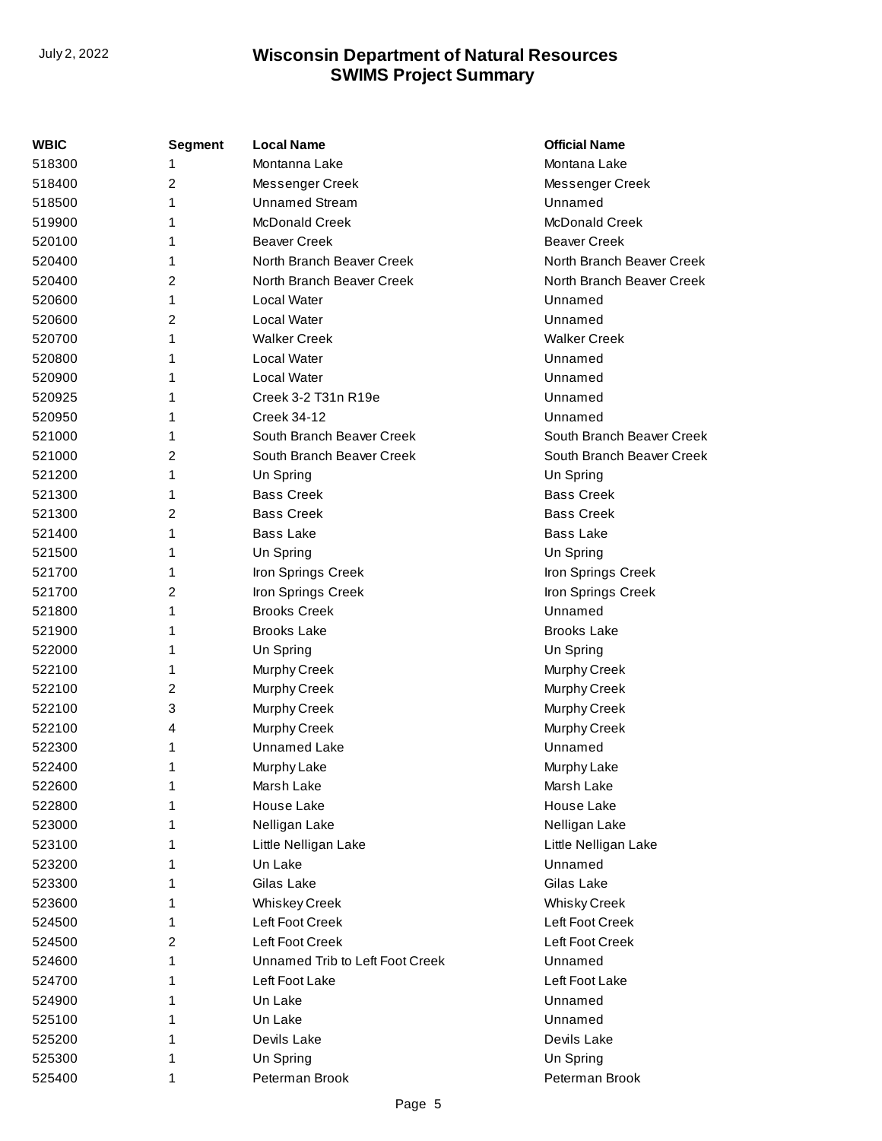| <b>WBIC</b> | <b>Segment</b> | <b>Local Name</b>               | <b>Official Name</b>      |
|-------------|----------------|---------------------------------|---------------------------|
| 518300      | 1              | Montanna Lake                   | Montana Lake              |
| 518400      | 2              | Messenger Creek                 | Messenger Creek           |
| 518500      | 1              | <b>Unnamed Stream</b>           | Unnamed                   |
| 519900      | 1              | <b>McDonald Creek</b>           | <b>McDonald Creek</b>     |
| 520100      | 1              | <b>Beaver Creek</b>             | <b>Beaver Creek</b>       |
| 520400      | 1              | North Branch Beaver Creek       | North Branch Beaver Creek |
| 520400      | 2              | North Branch Beaver Creek       | North Branch Beaver Creek |
| 520600      | 1              | Local Water                     | Unnamed                   |
| 520600      | 2              | Local Water                     | Unnamed                   |
| 520700      | 1              | <b>Walker Creek</b>             | <b>Walker Creek</b>       |
| 520800      | 1              | Local Water                     | Unnamed                   |
| 520900      | 1              | Local Water                     | Unnamed                   |
| 520925      | 1              | Creek 3-2 T31n R19e             | Unnamed                   |
| 520950      | 1              | <b>Creek 34-12</b>              | Unnamed                   |
| 521000      | 1              | South Branch Beaver Creek       | South Branch Beaver Creek |
| 521000      | 2              | South Branch Beaver Creek       | South Branch Beaver Creek |
| 521200      | 1              | Un Spring                       | Un Spring                 |
| 521300      | 1              | <b>Bass Creek</b>               | <b>Bass Creek</b>         |
| 521300      | 2              | <b>Bass Creek</b>               | <b>Bass Creek</b>         |
| 521400      | 1              | Bass Lake                       | Bass Lake                 |
| 521500      | 1              | Un Spring                       | Un Spring                 |
| 521700      | 1              | Iron Springs Creek              | Iron Springs Creek        |
| 521700      | 2              | Iron Springs Creek              | Iron Springs Creek        |
| 521800      | 1              | <b>Brooks Creek</b>             | Unnamed                   |
| 521900      | 1              | <b>Brooks Lake</b>              | <b>Brooks Lake</b>        |
| 522000      | 1              | Un Spring                       | Un Spring                 |
| 522100      | 1              | Murphy Creek                    | Murphy Creek              |
| 522100      | 2              | Murphy Creek                    | Murphy Creek              |
| 522100      | 3              | Murphy Creek                    | Murphy Creek              |
| 522100      | 4              | Murphy Creek                    | Murphy Creek              |
| 522300      | 1              | Unnamed Lake                    | Unnamed                   |
| 522400      | 1              | Murphy Lake                     | Murphy Lake               |
| 522600      | 1              | Marsh Lake                      | Marsh Lake                |
| 522800      | 1              | House Lake                      | House Lake                |
| 523000      | 1              | Nelligan Lake                   | Nelligan Lake             |
| 523100      | 1              | Little Nelligan Lake            | Little Nelligan Lake      |
| 523200      | 1              | Un Lake                         | Unnamed                   |
| 523300      | 1              | Gilas Lake                      | Gilas Lake                |
| 523600      | 1              | <b>Whiskey Creek</b>            | <b>Whisky Creek</b>       |
| 524500      | 1              | Left Foot Creek                 | Left Foot Creek           |
| 524500      | 2              | Left Foot Creek                 | Left Foot Creek           |
| 524600      | 1              | Unnamed Trib to Left Foot Creek | Unnamed                   |
| 524700      | 1              | Left Foot Lake                  | Left Foot Lake            |
| 524900      | 1              | Un Lake                         | Unnamed                   |
| 525100      | 1              | Un Lake                         | Unnamed                   |
| 525200      | 1              | Devils Lake                     | Devils Lake               |
| 525300      | 1              | Un Spring                       | Un Spring                 |
| 525400      | 1              | Peterman Brook                  | Peterman Brook            |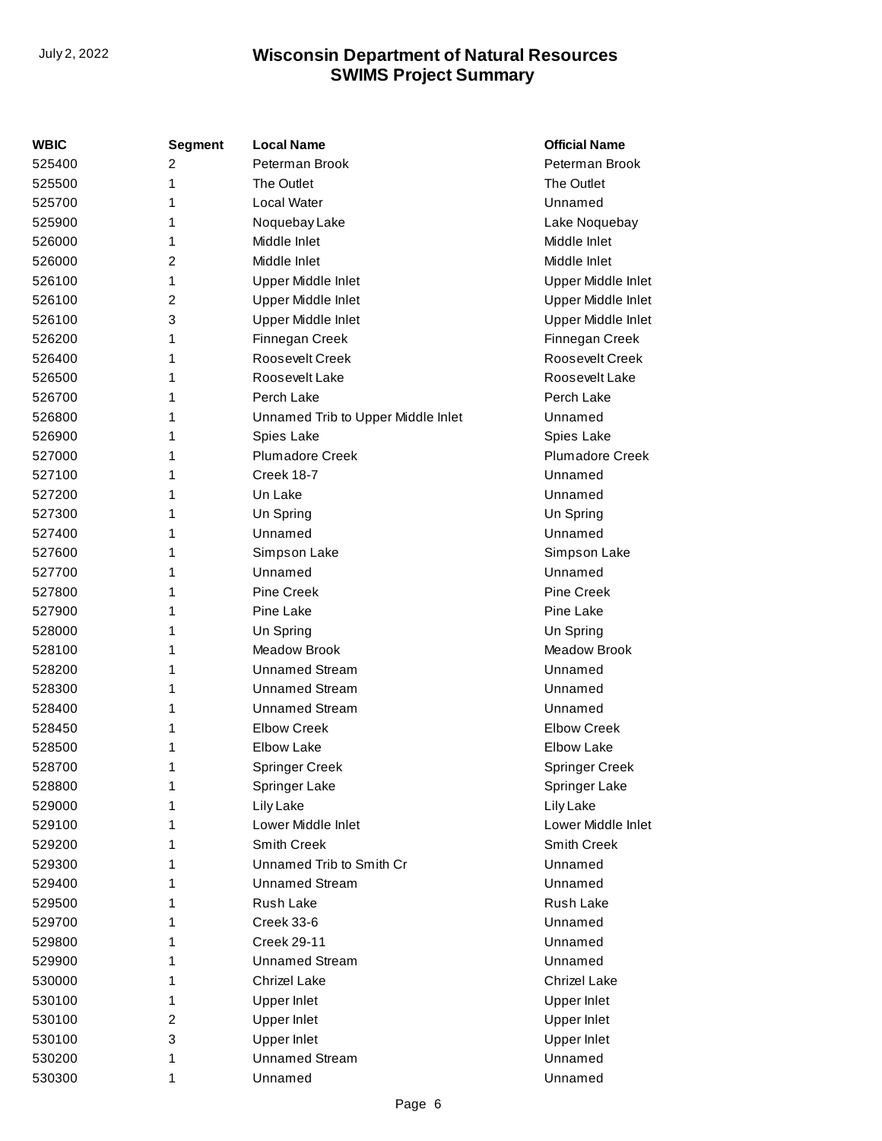| <b>WBIC</b> | Segment | <b>Local Name</b>                  | <b>Official Name</b>   |
|-------------|---------|------------------------------------|------------------------|
| 525400      | 2       | Peterman Brook                     | Peterman Brook         |
| 525500      | 1       | The Outlet                         | The Outlet             |
| 525700      | 1       | Local Water                        | Unnamed                |
| 525900      | 1       | Noquebay Lake                      | Lake Noquebay          |
| 526000      | 1       | Middle Inlet                       | Middle Inlet           |
| 526000      | 2       | Middle Inlet                       | Middle Inlet           |
| 526100      | 1       | Upper Middle Inlet                 | Upper Middle Inlet     |
| 526100      | 2       | Upper Middle Inlet                 | Upper Middle Inlet     |
| 526100      | 3       | Upper Middle Inlet                 | Upper Middle Inlet     |
| 526200      | 1       | Finnegan Creek                     | Finnegan Creek         |
| 526400      | 1       | Roosevelt Creek                    | Roosevelt Creek        |
| 526500      | 1       | Roosevelt Lake                     | Roosevelt Lake         |
| 526700      | 1       | Perch Lake                         | Perch Lake             |
| 526800      | 1       | Unnamed Trib to Upper Middle Inlet | Unnamed                |
| 526900      | 1       | Spies Lake                         | Spies Lake             |
| 527000      | 1       | <b>Plumadore Creek</b>             | <b>Plumadore Creek</b> |
| 527100      | 1       | Creek 18-7                         | Unnamed                |
| 527200      | 1       | Un Lake                            | Unnamed                |
| 527300      | 1       | Un Spring                          | Un Spring              |
| 527400      | 1       | Unnamed                            | Unnamed                |
| 527600      | 1       | Simpson Lake                       | Simpson Lake           |
| 527700      | 1       | Unnamed                            | Unnamed                |
| 527800      | 1       | <b>Pine Creek</b>                  | <b>Pine Creek</b>      |
| 527900      | 1       | Pine Lake                          | Pine Lake              |
| 528000      | 1       | Un Spring                          | Un Spring              |
| 528100      | 1       | Meadow Brook                       | Meadow Brook           |
| 528200      | 1       | <b>Unnamed Stream</b>              | Unnamed                |
| 528300      | 1       | <b>Unnamed Stream</b>              | Unnamed                |
| 528400      | 1       | <b>Unnamed Stream</b>              | Unnamed                |
| 528450      | 1       | <b>Elbow Creek</b>                 | <b>Elbow Creek</b>     |
| 528500      | 1       | <b>Elbow Lake</b>                  | <b>Elbow Lake</b>      |
| 528700      | 1       | <b>Springer Creek</b>              | <b>Springer Creek</b>  |
| 528800      | 1       | Springer Lake                      | Springer Lake          |
| 529000      | 1       | Lily Lake                          | Lily Lake              |
| 529100      | 1       | Lower Middle Inlet                 | Lower Middle Inlet     |
| 529200      | 1       | Smith Creek                        | <b>Smith Creek</b>     |
| 529300      | 1       | Unnamed Trib to Smith Cr           | Unnamed                |
| 529400      | 1       | <b>Unnamed Stream</b>              | Unnamed                |
| 529500      | 1       | Rush Lake                          | Rush Lake              |
| 529700      | 1       | Creek 33-6                         | Unnamed                |
| 529800      | 1       | <b>Creek 29-11</b>                 | Unnamed                |
| 529900      | 1       | <b>Unnamed Stream</b>              | Unnamed                |
| 530000      | 1       | <b>Chrizel Lake</b>                | Chrizel Lake           |
| 530100      | 1       | <b>Upper Inlet</b>                 | <b>Upper Inlet</b>     |
| 530100      | 2       | Upper Inlet                        | <b>Upper Inlet</b>     |
| 530100      | 3       | <b>Upper Inlet</b>                 | <b>Upper Inlet</b>     |
| 530200      | 1       | <b>Unnamed Stream</b>              | Unnamed                |
| 530300      | 1       | Unnamed                            | Unnamed                |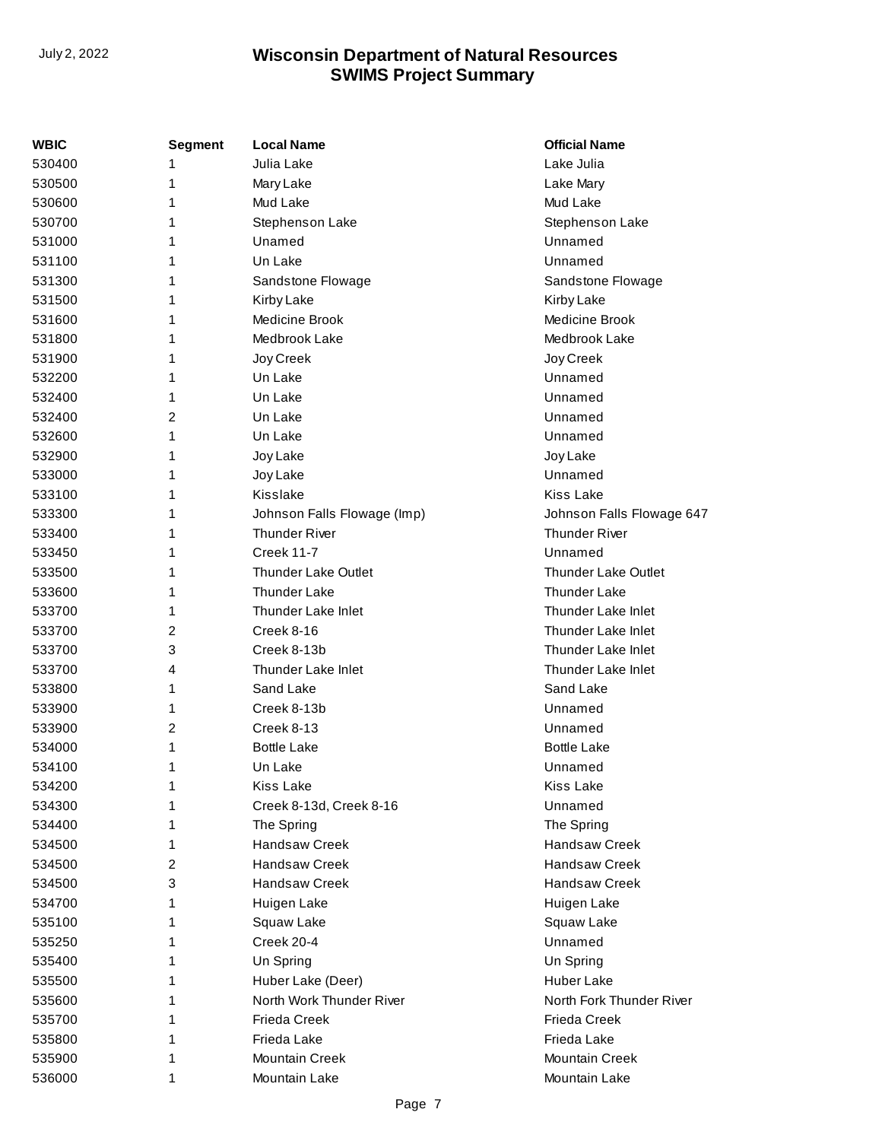| WBIC   | <b>Segment</b> | <b>Local Name</b>           | <b>Official Name</b>       |
|--------|----------------|-----------------------------|----------------------------|
| 530400 |                | Julia Lake                  | Lake Julia                 |
| 530500 | 1              | Mary Lake                   | Lake Mary                  |
| 530600 | 1              | Mud Lake                    | Mud Lake                   |
| 530700 |                | Stephenson Lake             | Stephenson Lake            |
| 531000 | 1              | Unamed                      | Unnamed                    |
| 531100 | 1              | Un Lake                     | Unnamed                    |
| 531300 |                | Sandstone Flowage           | Sandstone Flowage          |
| 531500 |                | Kirby Lake                  | Kirby Lake                 |
| 531600 | 1              | Medicine Brook              | Medicine Brook             |
| 531800 | 1              | Medbrook Lake               | Medbrook Lake              |
| 531900 |                | Joy Creek                   | Joy Creek                  |
| 532200 |                | Un Lake                     | Unnamed                    |
| 532400 | 1              | Un Lake                     | Unnamed                    |
| 532400 | 2              | Un Lake                     | Unnamed                    |
| 532600 |                | Un Lake                     | Unnamed                    |
| 532900 |                | Joy Lake                    | Joy Lake                   |
| 533000 | 1              | Joy Lake                    | Unnamed                    |
| 533100 | 1              | Kisslake                    | Kiss Lake                  |
| 533300 |                | Johnson Falls Flowage (Imp) | Johnson Falls Flowage 647  |
| 533400 |                | <b>Thunder River</b>        | <b>Thunder River</b>       |
| 533450 | 1              | <b>Creek 11-7</b>           | Unnamed                    |
| 533500 | 1              | Thunder Lake Outlet         | <b>Thunder Lake Outlet</b> |
| 533600 |                | <b>Thunder Lake</b>         | <b>Thunder Lake</b>        |
| 533700 |                | Thunder Lake Inlet          | Thunder Lake Inlet         |
| 533700 | 2              | Creek 8-16                  | Thunder Lake Inlet         |
| 533700 | 3              | Creek 8-13b                 | Thunder Lake Inlet         |
| 533700 | 4              | Thunder Lake Inlet          | Thunder Lake Inlet         |
| 533800 | 1              | Sand Lake                   | Sand Lake                  |
| 533900 | 1              | Creek 8-13b                 | Unnamed                    |
| 533900 | 2              | Creek 8-13                  | Unnamed                    |
| 534000 | 1              | <b>Bottle Lake</b>          | <b>Bottle Lake</b>         |
| 534100 | 1              | Un Lake                     | Unnamed                    |
| 534200 | 1              | Kiss Lake                   | <b>Kiss Lake</b>           |
| 534300 | 1              | Creek 8-13d, Creek 8-16     | Unnamed                    |
| 534400 |                | The Spring                  | The Spring                 |
| 534500 |                | <b>Handsaw Creek</b>        | <b>Handsaw Creek</b>       |
| 534500 | 2              | <b>Handsaw Creek</b>        | <b>Handsaw Creek</b>       |
| 534500 | 3              | Handsaw Creek               | Handsaw Creek              |
| 534700 |                | Huigen Lake                 | Huigen Lake                |
| 535100 |                | Squaw Lake                  | Squaw Lake                 |
| 535250 | 1              | Creek 20-4                  | Unnamed                    |
| 535400 | 1              | Un Spring                   | Un Spring                  |
| 535500 |                | Huber Lake (Deer)           | <b>Huber Lake</b>          |
| 535600 |                | North Work Thunder River    | North Fork Thunder River   |
| 535700 |                | <b>Frieda Creek</b>         | <b>Frieda Creek</b>        |
| 535800 |                | Frieda Lake                 | Frieda Lake                |
| 535900 |                | <b>Mountain Creek</b>       | <b>Mountain Creek</b>      |
| 536000 | 1              | Mountain Lake               | Mountain Lake              |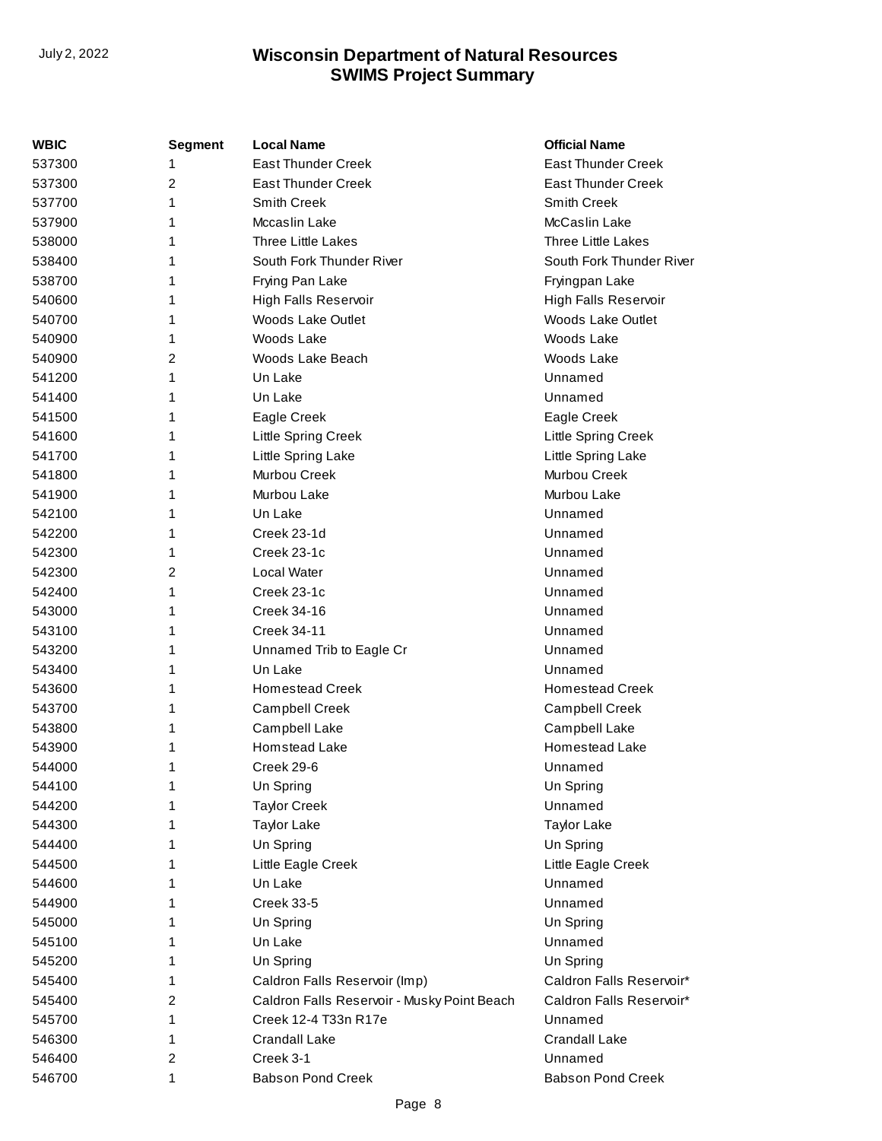| WBIC   | <b>Segment</b> | <b>Local Name</b>                           | <b>Official Name</b>      |
|--------|----------------|---------------------------------------------|---------------------------|
| 537300 | 1              | <b>East Thunder Creek</b>                   | <b>East Thunder Creek</b> |
| 537300 | 2              | <b>East Thunder Creek</b>                   | <b>East Thunder Creek</b> |
| 537700 | 1              | Smith Creek                                 | Smith Creek               |
| 537900 | 1              | Mccaslin Lake                               | McCaslin Lake             |
| 538000 | 1              | <b>Three Little Lakes</b>                   | <b>Three Little Lakes</b> |
| 538400 | 1              | South Fork Thunder River                    | South Fork Thunder River  |
| 538700 | 1              | Frying Pan Lake                             | Fryingpan Lake            |
| 540600 | 1              | High Falls Reservoir                        | High Falls Reservoir      |
| 540700 | 1              | Woods Lake Outlet                           | <b>Woods Lake Outlet</b>  |
| 540900 | 1              | Woods Lake                                  | Woods Lake                |
| 540900 | 2              | Woods Lake Beach                            | Woods Lake                |
| 541200 | 1              | Un Lake                                     | Unnamed                   |
| 541400 | 1              | Un Lake                                     | Unnamed                   |
| 541500 | 1              | Eagle Creek                                 | Eagle Creek               |
| 541600 | 1              | Little Spring Creek                         | Little Spring Creek       |
| 541700 | 1              | Little Spring Lake                          | Little Spring Lake        |
| 541800 | 1              | Murbou Creek                                | Murbou Creek              |
| 541900 | 1              | Murbou Lake                                 | Murbou Lake               |
| 542100 | 1              | Un Lake                                     | Unnamed                   |
| 542200 | 1              | Creek 23-1d                                 | Unnamed                   |
| 542300 | 1              | Creek 23-1c                                 | Unnamed                   |
| 542300 | 2              | Local Water                                 | Unnamed                   |
| 542400 | 1              | Creek 23-1c                                 | Unnamed                   |
| 543000 | 1              | Creek 34-16                                 | Unnamed                   |
| 543100 | 1              | <b>Creek 34-11</b>                          | Unnamed                   |
| 543200 | 1              | Unnamed Trib to Eagle Cr                    | Unnamed                   |
| 543400 | 1              | Un Lake                                     | Unnamed                   |
| 543600 | 1              | <b>Homestead Creek</b>                      | <b>Homestead Creek</b>    |
| 543700 | 1              | Campbell Creek                              | Campbell Creek            |
| 543800 | 1              | Campbell Lake                               | Campbell Lake             |
| 543900 | 1              | <b>Homstead Lake</b>                        | Homestead Lake            |
| 544000 | 1              | Creek 29-6                                  | Unnamed                   |
| 544100 | 1              | Un Spring                                   | Un Spring                 |
| 544200 |                | <b>Taylor Creek</b>                         | Unnamed                   |
| 544300 |                | <b>Taylor Lake</b>                          | <b>Taylor Lake</b>        |
| 544400 |                | Un Spring                                   | Un Spring                 |
| 544500 |                | Little Eagle Creek                          | Little Eagle Creek        |
| 544600 | 1              | Un Lake                                     | Unnamed                   |
| 544900 | 1              | <b>Creek 33-5</b>                           | Unnamed                   |
| 545000 |                | Un Spring                                   | Un Spring                 |
| 545100 | 1              | Un Lake                                     | Unnamed                   |
| 545200 | 1              | Un Spring                                   | Un Spring                 |
| 545400 | 1              | Caldron Falls Reservoir (Imp)               | Caldron Falls Reservoir*  |
| 545400 | 2              | Caldron Falls Reservoir - Musky Point Beach | Caldron Falls Reservoir*  |
| 545700 | 1              | Creek 12-4 T33n R17e                        | Unnamed                   |
| 546300 | 1              | <b>Crandall Lake</b>                        | Crandall Lake             |
| 546400 | 2              | Creek 3-1                                   | Unnamed                   |
| 546700 | 1              | <b>Babson Pond Creek</b>                    | <b>Babson Pond Creek</b>  |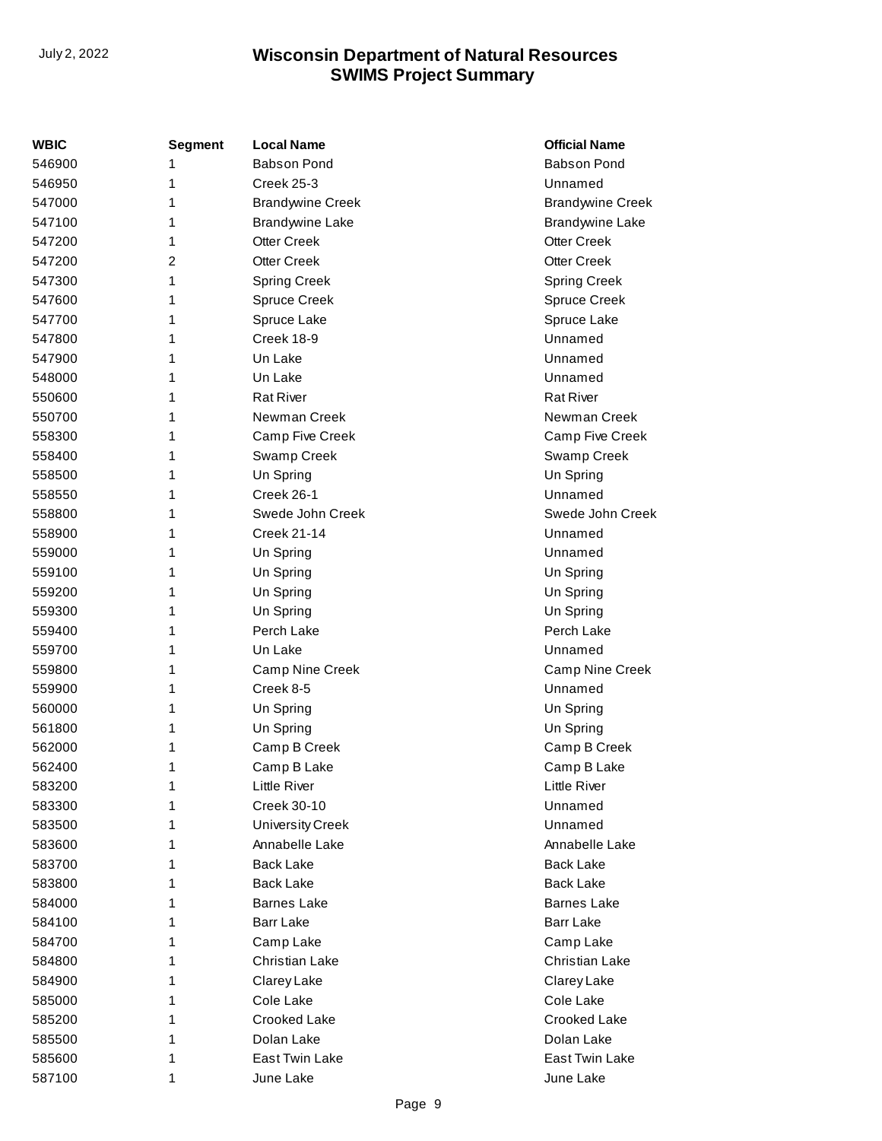| <b>WBIC</b> | <b>Segment</b> | <b>Local Name</b>       | <b>Official Name</b>    |
|-------------|----------------|-------------------------|-------------------------|
| 546900      | 1              | <b>Babson Pond</b>      | <b>Babson Pond</b>      |
| 546950      | 1              | <b>Creek 25-3</b>       | Unnamed                 |
| 547000      | 1              | <b>Brandywine Creek</b> | <b>Brandywine Creek</b> |
| 547100      | 1              | <b>Brandywine Lake</b>  | <b>Brandywine Lake</b>  |
| 547200      | 1              | Otter Creek             | <b>Otter Creek</b>      |
| 547200      | 2              | <b>Otter Creek</b>      | <b>Otter Creek</b>      |
| 547300      | 1              | <b>Spring Creek</b>     | <b>Spring Creek</b>     |
| 547600      | 1              | <b>Spruce Creek</b>     | <b>Spruce Creek</b>     |
| 547700      | 1              | Spruce Lake             | Spruce Lake             |
| 547800      | 1              | Creek 18-9              | Unnamed                 |
| 547900      | 1              | Un Lake                 | Unnamed                 |
| 548000      | 1              | Un Lake                 | Unnamed                 |
| 550600      | 1              | <b>Rat River</b>        | <b>Rat River</b>        |
| 550700      | 1              | Newman Creek            | Newman Creek            |
| 558300      | 1              | Camp Five Creek         | Camp Five Creek         |
| 558400      | 1              | Swamp Creek             | Swamp Creek             |
| 558500      | 1              | Un Spring               | Un Spring               |
| 558550      | 1              | Creek 26-1              | Unnamed                 |
| 558800      | 1              | Swede John Creek        | Swede John Creek        |
| 558900      | 1              | <b>Creek 21-14</b>      | Unnamed                 |
| 559000      | 1              | Un Spring               | Unnamed                 |
| 559100      | 1              | Un Spring               | Un Spring               |
| 559200      | 1              | Un Spring               | Un Spring               |
| 559300      | 1              | Un Spring               | Un Spring               |
| 559400      | 1              | Perch Lake              | Perch Lake              |
| 559700      | 1              | Un Lake                 | Unnamed                 |
| 559800      | 1              | Camp Nine Creek         | Camp Nine Creek         |
| 559900      | 1              | Creek 8-5               | Unnamed                 |
| 560000      | 1              | Un Spring               | Un Spring               |
| 561800      | 1              | Un Spring               | Un Spring               |
| 562000      | 1              | Camp B Creek            | Camp B Creek            |
| 562400      | 1              | Camp B Lake             | Camp B Lake             |
| 583200      | 1              | Little River            | Little River            |
| 583300      | 1              | Creek 30-10             | Unnamed                 |
| 583500      | 1              | <b>University Creek</b> | Unnamed                 |
| 583600      | 1              | Annabelle Lake          | Annabelle Lake          |
| 583700      | 1              | <b>Back Lake</b>        | <b>Back Lake</b>        |
| 583800      | 1              | <b>Back Lake</b>        | <b>Back Lake</b>        |
| 584000      | 1              | <b>Barnes Lake</b>      | <b>Barnes Lake</b>      |
| 584100      | 1              | Barr Lake               | Barr Lake               |
| 584700      | 1              | Camp Lake               | Camp Lake               |
| 584800      | 1              | Christian Lake          | Christian Lake          |
| 584900      | 1              | Clarey Lake             | Clarey Lake             |
| 585000      | 1              | Cole Lake               | Cole Lake               |
| 585200      | 1              | Crooked Lake            | Crooked Lake            |
| 585500      | 1              | Dolan Lake              | Dolan Lake              |
| 585600      | 1              | East Twin Lake          | East Twin Lake          |
| 587100      | 1              | June Lake               | June Lake               |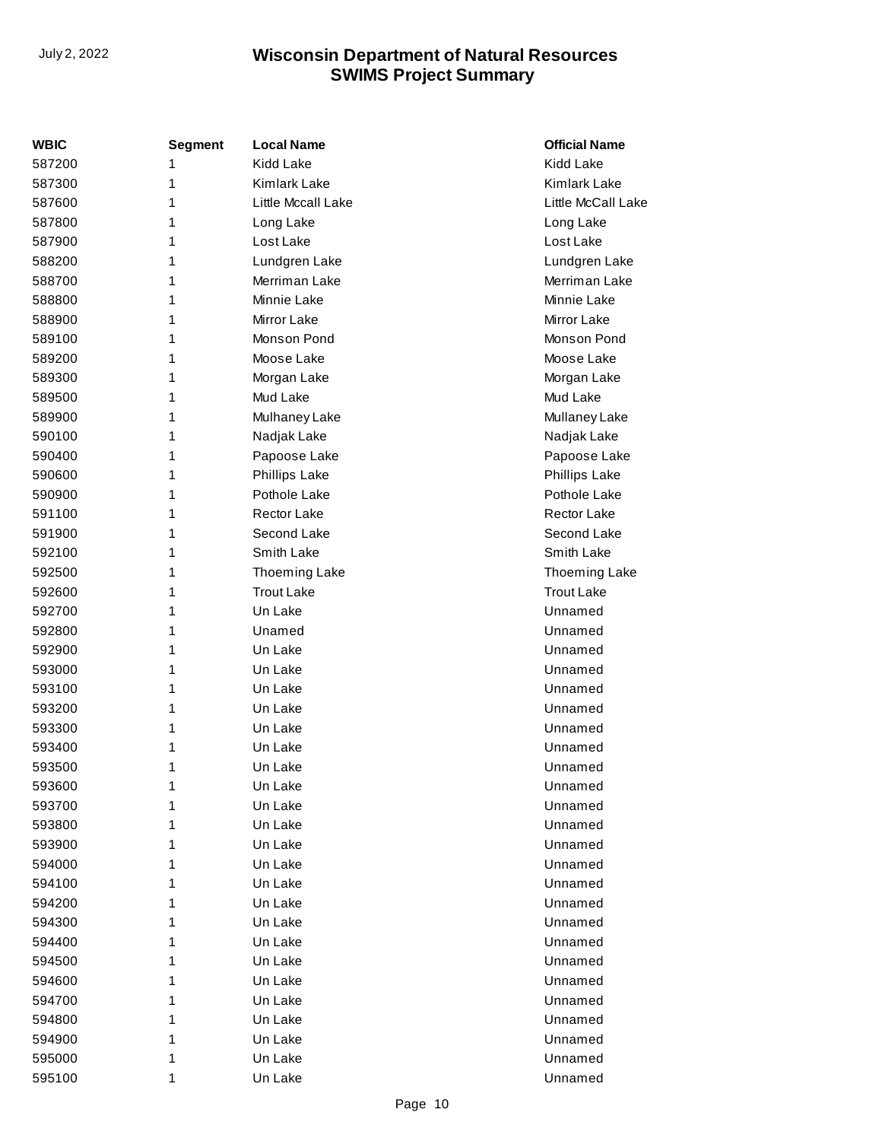| WBIC   | Segment | <b>Local Name</b>    | <b>Official Name</b> |
|--------|---------|----------------------|----------------------|
| 587200 | 1       | <b>Kidd Lake</b>     | <b>Kidd Lake</b>     |
| 587300 | 1       | Kimlark Lake         | Kimlark Lake         |
| 587600 | 1       | Little Mccall Lake   | Little McCall Lake   |
| 587800 | 1       | Long Lake            | Long Lake            |
| 587900 | 1       | Lost Lake            | Lost Lake            |
| 588200 | 1       | Lundgren Lake        | Lundgren Lake        |
| 588700 | 1       | Merriman Lake        | Merriman Lake        |
| 588800 | 1       | Minnie Lake          | Minnie Lake          |
| 588900 | 1       | Mirror Lake          | <b>Mirror Lake</b>   |
| 589100 | 1       | Monson Pond          | Monson Pond          |
| 589200 | 1       | Moose Lake           | Moose Lake           |
| 589300 | 1       | Morgan Lake          | Morgan Lake          |
| 589500 | 1       | Mud Lake             | Mud Lake             |
| 589900 | 1       | Mulhaney Lake        | Mullaney Lake        |
| 590100 | 1       | Nadjak Lake          | Nadjak Lake          |
| 590400 | 1       | Papoose Lake         | Papoose Lake         |
| 590600 | 1       | <b>Phillips Lake</b> | <b>Phillips Lake</b> |
| 590900 | 1       | Pothole Lake         | Pothole Lake         |
| 591100 | 1       | Rector Lake          | <b>Rector Lake</b>   |
| 591900 | 1       | Second Lake          | Second Lake          |
| 592100 | 1       | Smith Lake           | Smith Lake           |
| 592500 | 1       | <b>Thoeming Lake</b> | Thoeming Lake        |
| 592600 | 1       | <b>Trout Lake</b>    | <b>Trout Lake</b>    |
| 592700 | 1       | Un Lake              | Unnamed              |
| 592800 | 1       | Unamed               | Unnamed              |
| 592900 | 1       | Un Lake              | Unnamed              |
| 593000 | 1       | Un Lake              | Unnamed              |
| 593100 | 1       | Un Lake              | Unnamed              |
| 593200 | 1       | Un Lake              | Unnamed              |
| 593300 | 1       | Un Lake              | Unnamed              |
| 593400 | 1       | Un Lake              | Unnamed              |
| 593500 | 1       | Un Lake              | Unnamed              |
| 593600 | 1       | Un Lake              | Unnamed              |
| 593700 | 1       | Un Lake              | Unnamed              |
| 593800 | 1       | Un Lake              | Unnamed              |
| 593900 | 1       | Un Lake              | Unnamed              |
| 594000 | 1       | Un Lake              | Unnamed              |
| 594100 | 1       | Un Lake              | Unnamed              |
| 594200 | 1       | Un Lake              | Unnamed              |
| 594300 | 1       | Un Lake              | Unnamed              |
| 594400 | 1       | Un Lake              | Unnamed              |
| 594500 | 1       | Un Lake              | Unnamed              |
| 594600 | 1       | Un Lake              | Unnamed              |
| 594700 | 1       | Un Lake              | Unnamed              |
| 594800 | 1       | Un Lake              | Unnamed              |
| 594900 | 1       | Un Lake              | Unnamed              |
| 595000 | 1       | Un Lake              | Unnamed              |
| 595100 | 1       | Un Lake              | Unnamed              |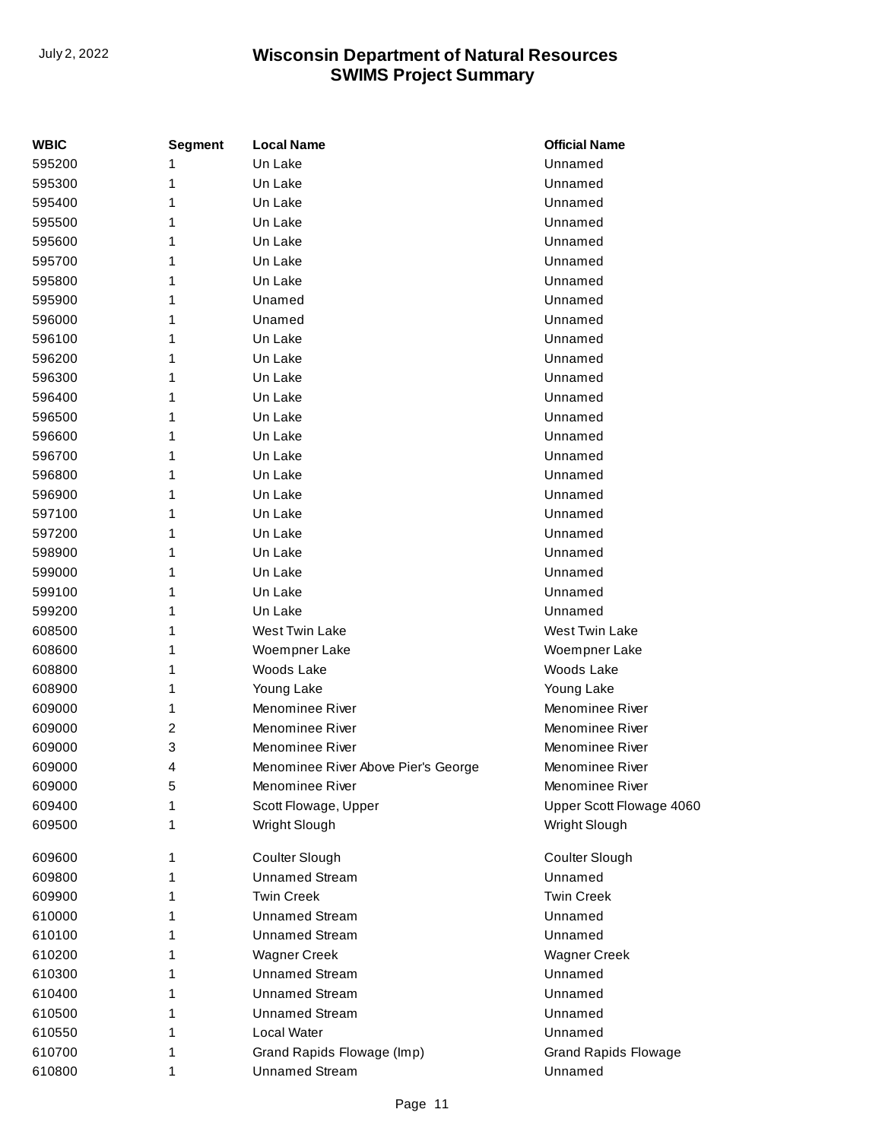| <b>WBIC</b> | Segment | <b>Local Name</b>                   | <b>Official Name</b>        |
|-------------|---------|-------------------------------------|-----------------------------|
| 595200      | 1       | Un Lake                             | Unnamed                     |
| 595300      | 1       | Un Lake                             | Unnamed                     |
| 595400      | 1       | Un Lake                             | Unnamed                     |
| 595500      | 1       | Un Lake                             | Unnamed                     |
| 595600      | 1       | Un Lake                             | Unnamed                     |
| 595700      | 1       | Un Lake                             | Unnamed                     |
| 595800      | 1       | Un Lake                             | Unnamed                     |
| 595900      | 1       | Unamed                              | Unnamed                     |
| 596000      | 1       | Unamed                              | Unnamed                     |
| 596100      | 1       | Un Lake                             | Unnamed                     |
| 596200      | 1       | Un Lake                             | Unnamed                     |
| 596300      | 1       | Un Lake                             | Unnamed                     |
| 596400      | 1       | Un Lake                             | Unnamed                     |
| 596500      | 1       | Un Lake                             | Unnamed                     |
| 596600      |         | Un Lake                             | Unnamed                     |
| 596700      | 1       | Un Lake                             | Unnamed                     |
| 596800      | 1       | Un Lake                             | Unnamed                     |
| 596900      | 1       | Un Lake                             | Unnamed                     |
| 597100      | 1       | Un Lake                             | Unnamed                     |
| 597200      | 1       | Un Lake                             | Unnamed                     |
| 598900      | 1       | Un Lake                             | Unnamed                     |
| 599000      | 1       | Un Lake                             | Unnamed                     |
| 599100      |         | Un Lake                             | Unnamed                     |
| 599200      | 1       | Un Lake                             | Unnamed                     |
| 608500      | 1       | West Twin Lake                      | West Twin Lake              |
| 608600      | 1       | Woempner Lake                       | Woempner Lake               |
| 608800      | 1       | Woods Lake                          | Woods Lake                  |
| 608900      | 1       | Young Lake                          | Young Lake                  |
| 609000      | 1       | Menominee River                     | Menominee River             |
| 609000      | 2       | Menominee River                     | Menominee River             |
| 609000      | 3       | Menominee River                     | Menominee River             |
| 609000      | 4       | Menominee River Above Pier's George | Menominee River             |
| 609000      | 5       | Menominee River                     | Menominee River             |
| 609400      | 1       | Scott Flowage, Upper                | Upper Scott Flowage 4060    |
| 609500      | 1       | Wright Slough                       | Wright Slough               |
| 609600      | 1       | Coulter Slough                      | Coulter Slough              |
| 609800      | 1       | <b>Unnamed Stream</b>               | Unnamed                     |
| 609900      | 1       | <b>Twin Creek</b>                   | <b>Twin Creek</b>           |
| 610000      | 1       | <b>Unnamed Stream</b>               | Unnamed                     |
| 610100      | 1       | <b>Unnamed Stream</b>               | Unnamed                     |
| 610200      | 1       | <b>Wagner Creek</b>                 | <b>Wagner Creek</b>         |
| 610300      | 1       | <b>Unnamed Stream</b>               | Unnamed                     |
| 610400      | 1       | <b>Unnamed Stream</b>               | Unnamed                     |
| 610500      | 1       | <b>Unnamed Stream</b>               | Unnamed                     |
| 610550      | 1       | Local Water                         | Unnamed                     |
| 610700      | 1       | Grand Rapids Flowage (Imp)          | <b>Grand Rapids Flowage</b> |
| 610800      | 1       | <b>Unnamed Stream</b>               | Unnamed                     |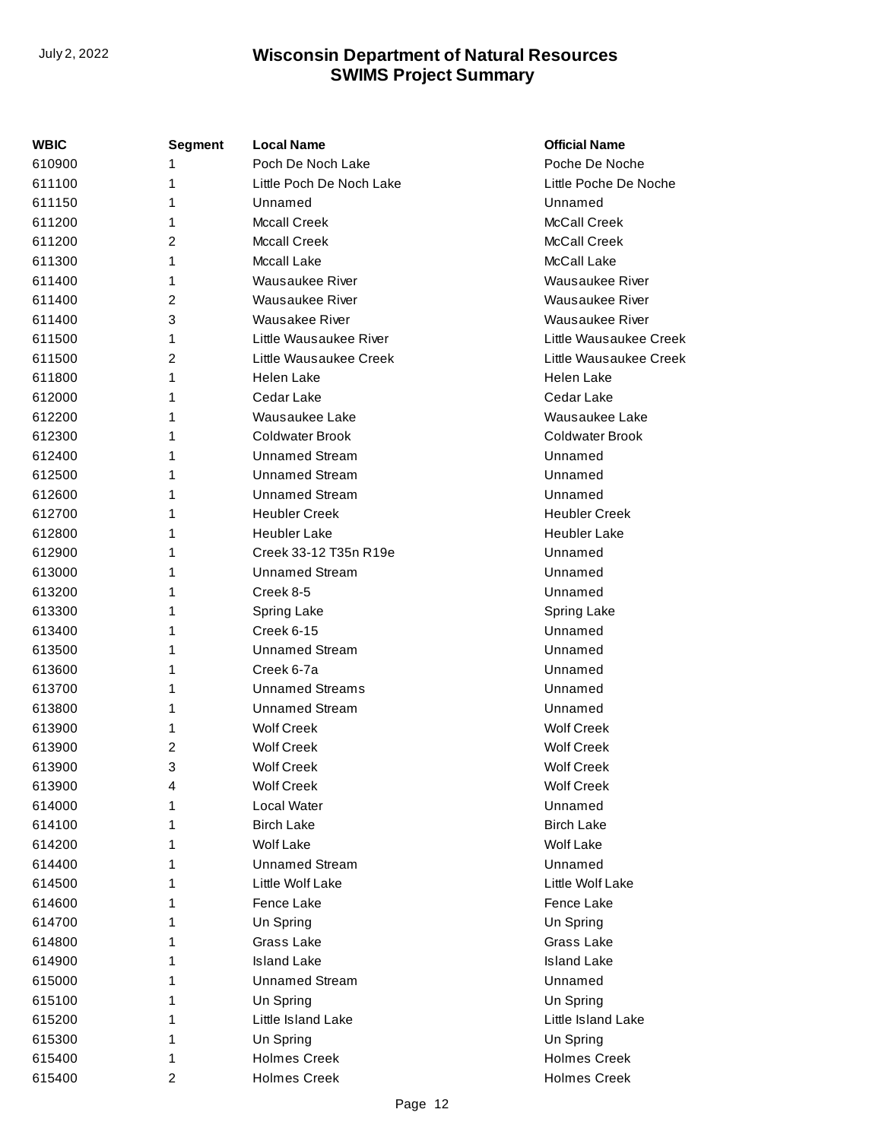| WBIC   | <b>Segment</b> | <b>Local Name</b>        | <b>Official Name</b>   |
|--------|----------------|--------------------------|------------------------|
| 610900 | 1              | Poch De Noch Lake        | Poche De Noche         |
| 611100 | 1              | Little Poch De Noch Lake | Little Poche De Noche  |
| 611150 | 1              | Unnamed                  | Unnamed                |
| 611200 | 1              | <b>Mccall Creek</b>      | <b>McCall Creek</b>    |
| 611200 | 2              | <b>Mccall Creek</b>      | <b>McCall Creek</b>    |
| 611300 | 1              | Mccall Lake              | McCall Lake            |
| 611400 | 1              | Wausaukee River          | Wausaukee River        |
| 611400 | 2              | Wausaukee River          | <b>Wausaukee River</b> |
| 611400 | 3              | <b>Wausakee River</b>    | Wausaukee River        |
| 611500 | 1              | Little Wausaukee River   | Little Wausaukee Creek |
| 611500 | $\overline{c}$ | Little Wausaukee Creek   | Little Wausaukee Creek |
| 611800 | 1              | Helen Lake               | Helen Lake             |
| 612000 | 1              | Cedar Lake               | Cedar Lake             |
| 612200 | 1              | Wausaukee Lake           | Wausaukee Lake         |
| 612300 | 1              | <b>Coldwater Brook</b>   | Coldwater Brook        |
| 612400 | 1              | <b>Unnamed Stream</b>    | Unnamed                |
| 612500 | 1              | <b>Unnamed Stream</b>    | Unnamed                |
| 612600 | 1              | <b>Unnamed Stream</b>    | Unnamed                |
| 612700 | 1              | <b>Heubler Creek</b>     | <b>Heubler Creek</b>   |
| 612800 | 1              | <b>Heubler Lake</b>      | <b>Heubler Lake</b>    |
| 612900 | 1              | Creek 33-12 T35n R19e    | Unnamed                |
| 613000 | 1              | <b>Unnamed Stream</b>    | Unnamed                |
| 613200 | 1              | Creek 8-5                | Unnamed                |
| 613300 | 1              | Spring Lake              | Spring Lake            |
| 613400 | 1              | <b>Creek 6-15</b>        | Unnamed                |
| 613500 | 1              | <b>Unnamed Stream</b>    | Unnamed                |
| 613600 | 1              | Creek 6-7a               | Unnamed                |
| 613700 | 1              | <b>Unnamed Streams</b>   | Unnamed                |
| 613800 | 1              | <b>Unnamed Stream</b>    | Unnamed                |
| 613900 | 1              | <b>Wolf Creek</b>        | <b>Wolf Creek</b>      |
| 613900 | 2              | <b>Wolf Creek</b>        | <b>Wolf Creek</b>      |
| 613900 | 3              | <b>Wolf Creek</b>        | <b>Wolf Creek</b>      |
| 613900 | 4              | <b>Wolf Creek</b>        | <b>Wolf Creek</b>      |
| 614000 | 1              | Local Water              | Unnamed                |
| 614100 | 1              | <b>Birch Lake</b>        | <b>Birch Lake</b>      |
| 614200 | 1              | Wolf Lake                | Wolf Lake              |
| 614400 | 1              | <b>Unnamed Stream</b>    | Unnamed                |
| 614500 | 1              | Little Wolf Lake         | Little Wolf Lake       |
| 614600 | 1              | Fence Lake               | Fence Lake             |
| 614700 | 1              | Un Spring                | Un Spring              |
| 614800 | 1              | Grass Lake               | Grass Lake             |
| 614900 | 1              | <b>Island Lake</b>       | <b>Island Lake</b>     |
| 615000 | 1              | <b>Unnamed Stream</b>    | Unnamed                |
| 615100 | 1              | Un Spring                | Un Spring              |
| 615200 | 1              | Little Island Lake       | Little Island Lake     |
| 615300 | 1              | Un Spring                | Un Spring              |
| 615400 | 1              | <b>Holmes Creek</b>      | <b>Holmes Creek</b>    |
| 615400 | 2              | <b>Holmes Creek</b>      | <b>Holmes Creek</b>    |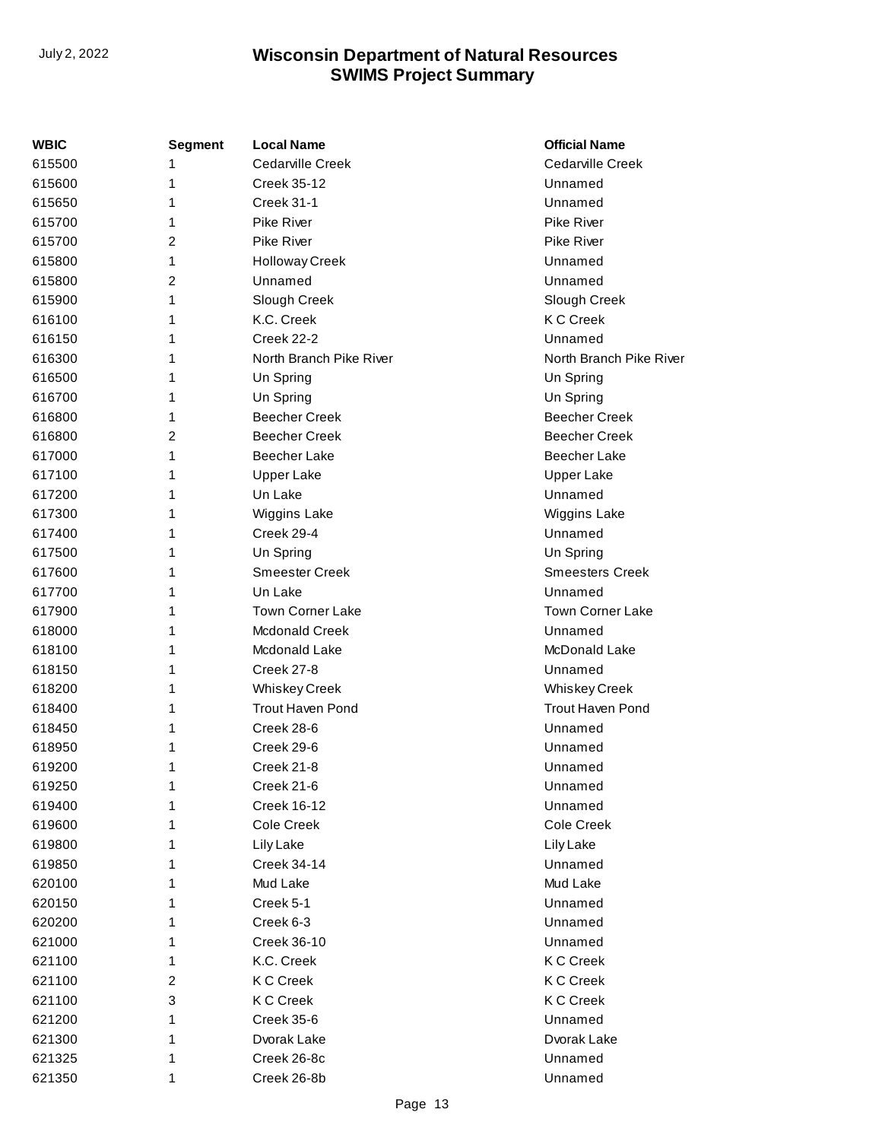| WBIC   | <b>Segment</b> | <b>Local Name</b>       | <b>Official Name</b>    |  |  |
|--------|----------------|-------------------------|-------------------------|--|--|
| 615500 | 1              | Cedarville Creek        | Cedarville Creek        |  |  |
| 615600 | 1              | Creek 35-12<br>Unnamed  |                         |  |  |
| 615650 | 1              | <b>Creek 31-1</b>       | Unnamed                 |  |  |
| 615700 | 1              | Pike River              | <b>Pike River</b>       |  |  |
| 615700 | 2              | <b>Pike River</b>       | <b>Pike River</b>       |  |  |
| 615800 | 1              | <b>Holloway Creek</b>   | Unnamed                 |  |  |
| 615800 | 2              | Unnamed                 | Unnamed                 |  |  |
| 615900 | 1              | Slough Creek            | Slough Creek            |  |  |
| 616100 | 1              | K.C. Creek              | <b>KC</b> Creek         |  |  |
| 616150 | 1              | Creek 22-2              | Unnamed                 |  |  |
| 616300 | 1              | North Branch Pike River | North Branch Pike River |  |  |
| 616500 | 1              | Un Spring               | Un Spring               |  |  |
| 616700 | 1              | Un Spring               | Un Spring               |  |  |
| 616800 | 1              | <b>Beecher Creek</b>    | <b>Beecher Creek</b>    |  |  |
| 616800 | 2              | <b>Beecher Creek</b>    | <b>Beecher Creek</b>    |  |  |
| 617000 | 1              | <b>Beecher Lake</b>     | <b>Beecher Lake</b>     |  |  |
| 617100 | 1              | <b>Upper Lake</b>       | <b>Upper Lake</b>       |  |  |
| 617200 | 1              | Un Lake                 | Unnamed                 |  |  |
| 617300 | 1              | Wiggins Lake            | Wiggins Lake            |  |  |
| 617400 | 1              | Creek 29-4              | Unnamed                 |  |  |
| 617500 | 1              | Un Spring               | Un Spring               |  |  |
| 617600 | 1              | <b>Smeester Creek</b>   | <b>Smeesters Creek</b>  |  |  |
| 617700 | 1              | Un Lake                 | Unnamed                 |  |  |
| 617900 | 1              | <b>Town Corner Lake</b> | Town Corner Lake        |  |  |
| 618000 | 1              | <b>Mcdonald Creek</b>   | Unnamed                 |  |  |
| 618100 | 1              | Mcdonald Lake           | McDonald Lake           |  |  |
| 618150 | 1              | Creek 27-8              | Unnamed                 |  |  |
| 618200 | 1              | <b>Whiskey Creek</b>    | <b>Whiskey Creek</b>    |  |  |
| 618400 | 1              | <b>Trout Haven Pond</b> | Trout Haven Pond        |  |  |
| 618450 | 1              | Creek 28-6              | Unnamed                 |  |  |
| 618950 | 1              | Creek 29-6              | Unnamed                 |  |  |
| 619200 | 1              | Creek 21-8              | Unnamed                 |  |  |
| 619250 | 1              | Creek 21-6              | Unnamed                 |  |  |
| 619400 | 1              | <b>Creek 16-12</b>      | Unnamed                 |  |  |
| 619600 | 1              | Cole Creek              | Cole Creek              |  |  |
| 619800 | 1              | Lily Lake               | Lily Lake               |  |  |
| 619850 | 1              | <b>Creek 34-14</b>      | Unnamed                 |  |  |
| 620100 | 1              | Mud Lake                | Mud Lake                |  |  |
| 620150 | 1              | Creek 5-1               | Unnamed                 |  |  |
| 620200 | 1              | Creek 6-3               | Unnamed                 |  |  |
| 621000 | 1              | Creek 36-10             | Unnamed                 |  |  |
| 621100 | 1              | K.C. Creek              | <b>KC</b> Creek         |  |  |
| 621100 | $\overline{c}$ | <b>KCC</b> reek         | <b>KCC</b> reek         |  |  |
| 621100 | 3              | <b>KCC</b> reek         | <b>KC</b> Creek         |  |  |
| 621200 | 1              | Creek 35-6              | Unnamed                 |  |  |
| 621300 | 1              | Dvorak Lake             | Dvorak Lake             |  |  |
| 621325 | 1              | Creek 26-8c             | Unnamed                 |  |  |
| 621350 | 1              | Creek 26-8b             | Unnamed                 |  |  |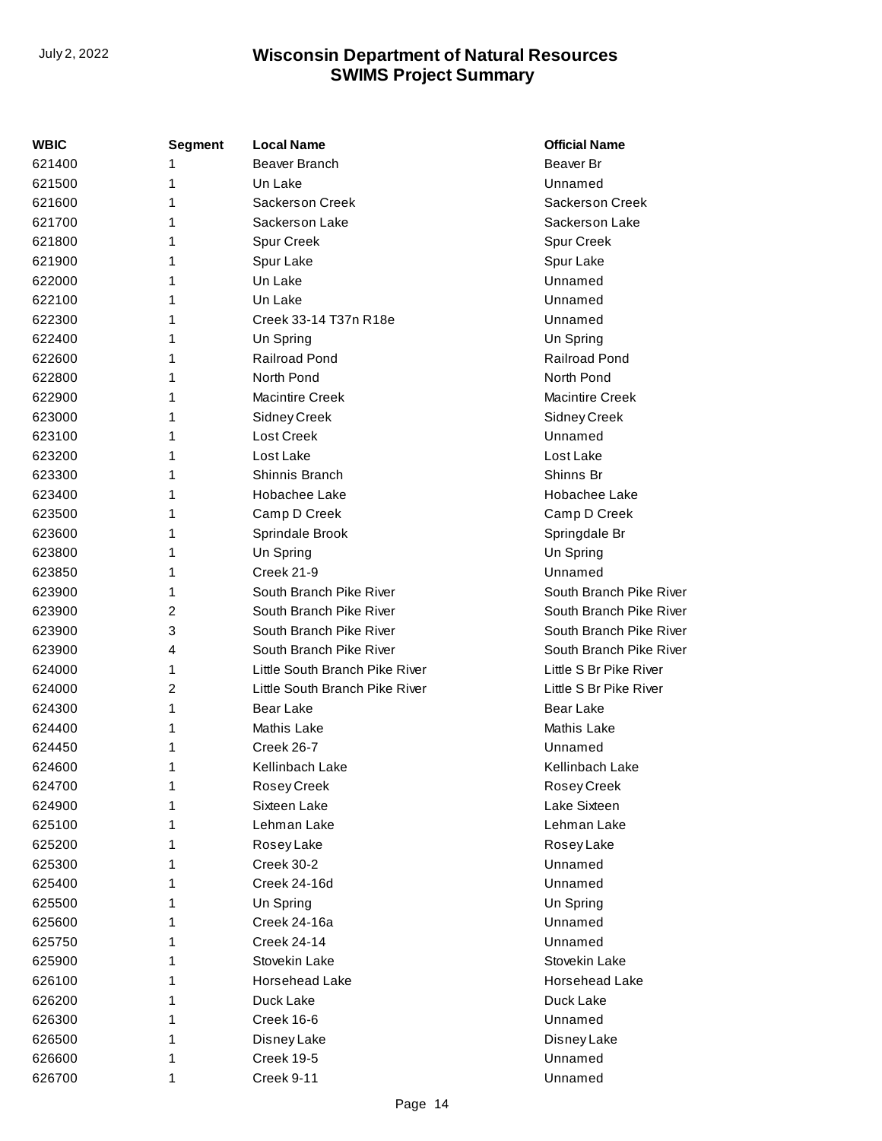| WBIC   | <b>Segment</b> | <b>Local Name</b>              | <b>Official Name</b>    |  |
|--------|----------------|--------------------------------|-------------------------|--|
| 621400 | 1              | Beaver Branch                  | Beaver Br               |  |
| 621500 | 1              | Un Lake                        | Unnamed                 |  |
| 621600 | 1              | <b>Sackerson Creek</b>         | <b>Sackerson Creek</b>  |  |
| 621700 | 1              | Sackerson Lake                 | Sackerson Lake          |  |
| 621800 | 1              | Spur Creek                     | Spur Creek              |  |
| 621900 | 1              | Spur Lake                      | Spur Lake               |  |
| 622000 | 1              | Un Lake                        | Unnamed                 |  |
| 622100 | 1              | Un Lake                        | Unnamed                 |  |
| 622300 | 1              | Creek 33-14 T37n R18e          | Unnamed                 |  |
| 622400 | 1              | Un Spring                      | Un Spring               |  |
| 622600 | 1              | <b>Railroad Pond</b>           | <b>Railroad Pond</b>    |  |
| 622800 | 1              | North Pond                     | North Pond              |  |
| 622900 | 1              | <b>Macintire Creek</b>         | Macintire Creek         |  |
| 623000 | 1              | Sidney Creek                   | Sidney Creek            |  |
| 623100 | 1              | Lost Creek                     | Unnamed                 |  |
| 623200 | 1              | Lost Lake                      | Lost Lake               |  |
| 623300 | 1              | Shinnis Branch                 | Shinns Br               |  |
| 623400 | 1              | Hobachee Lake                  | Hobachee Lake           |  |
| 623500 | 1              | Camp D Creek                   | Camp D Creek            |  |
| 623600 | 1              | Sprindale Brook                | Springdale Br           |  |
| 623800 | 1              | Un Spring                      | Un Spring               |  |
| 623850 | 1              | <b>Creek 21-9</b>              | Unnamed                 |  |
| 623900 | 1              | South Branch Pike River        | South Branch Pike River |  |
| 623900 | 2              | South Branch Pike River        | South Branch Pike River |  |
| 623900 | 3              | South Branch Pike River        | South Branch Pike River |  |
| 623900 | 4              | South Branch Pike River        | South Branch Pike River |  |
| 624000 | 1              | Little South Branch Pike River | Little S Br Pike River  |  |
| 624000 | $\overline{2}$ | Little South Branch Pike River | Little S Br Pike River  |  |
| 624300 | 1              | Bear Lake                      | Bear Lake               |  |
| 624400 | 1              | Mathis Lake                    | Mathis Lake             |  |
| 624450 | 1              | Creek 26-7                     | Unnamed                 |  |
| 624600 | 1              | Kellinbach Lake                | Kellinbach Lake         |  |
| 624700 | 1              | Rosey Creek                    | Rosey Creek             |  |
| 624900 |                | Sixteen Lake                   | Lake Sixteen            |  |
| 625100 | 1              | Lehman Lake                    | Lehman Lake             |  |
| 625200 | 1              | Rosey Lake                     | Rosey Lake              |  |
| 625300 | 1              | Creek 30-2                     | Unnamed                 |  |
| 625400 | 1              | Creek 24-16d                   | Unnamed                 |  |
| 625500 | 1              | Un Spring                      | Un Spring               |  |
| 625600 | 1              | Creek 24-16a                   | Unnamed                 |  |
| 625750 | 1              | <b>Creek 24-14</b>             | Unnamed                 |  |
| 625900 | 1              | Stovekin Lake                  | Stovekin Lake           |  |
| 626100 | 1              | Horsehead Lake                 | Horsehead Lake          |  |
| 626200 | 1              | Duck Lake                      | Duck Lake               |  |
| 626300 | 1              | Creek 16-6                     | Unnamed                 |  |
| 626500 | 1              | Disney Lake                    | Disney Lake             |  |
| 626600 | 1              | <b>Creek 19-5</b>              | Unnamed                 |  |
| 626700 | 1              | Creek 9-11                     | Unnamed                 |  |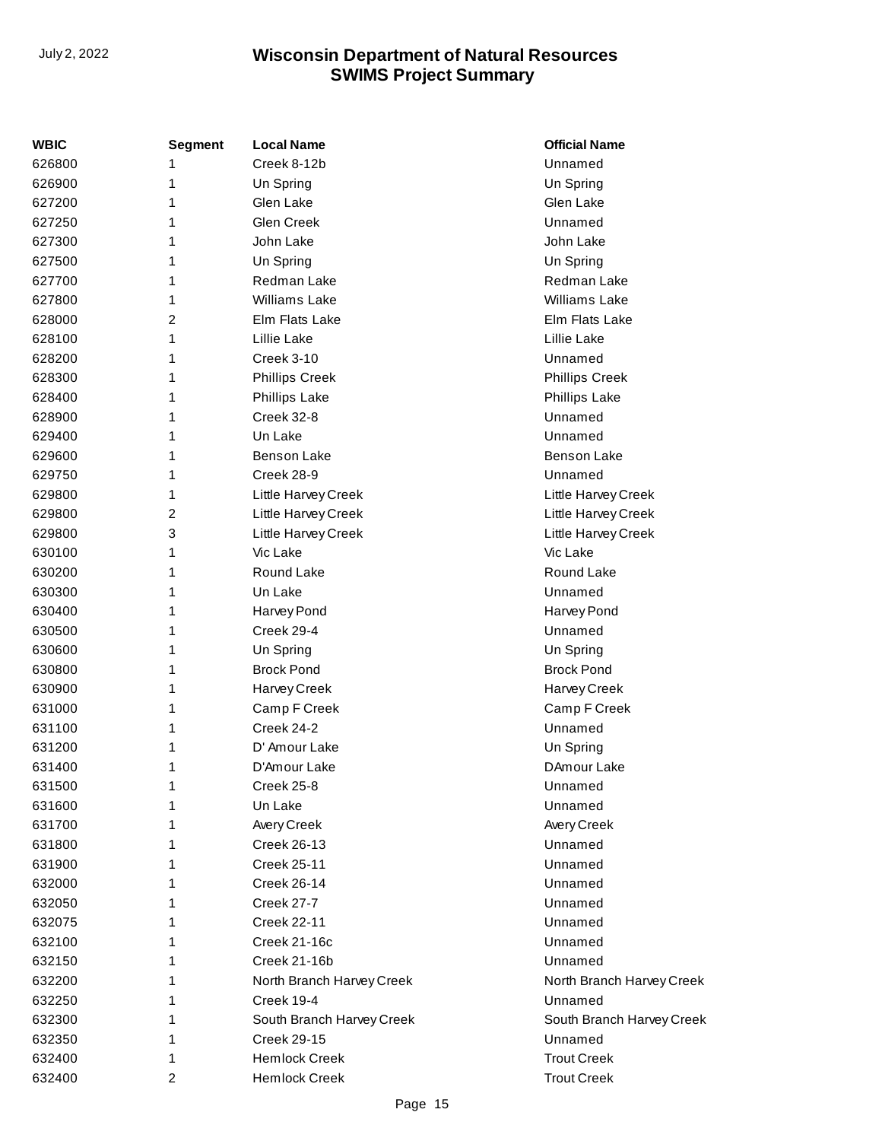| <b>WBIC</b> | Segment        | <b>Local Name</b>         | <b>Official Name</b>      |
|-------------|----------------|---------------------------|---------------------------|
| 626800      | 1              | Creek 8-12b               | Unnamed                   |
| 626900      | 1              | Un Spring                 | Un Spring                 |
| 627200      | 1              | Glen Lake                 | Glen Lake                 |
| 627250      | 1              | Glen Creek                | Unnamed                   |
| 627300      | 1              | John Lake                 | John Lake                 |
| 627500      | 1              | Un Spring                 | Un Spring                 |
| 627700      | 1              | Redman Lake               | Redman Lake               |
| 627800      | 1              | <b>Williams Lake</b>      | Williams Lake             |
| 628000      | $\overline{2}$ | Elm Flats Lake            | Elm Flats Lake            |
| 628100      | 1              | Lillie Lake               | Lillie Lake               |
| 628200      | 1              | <b>Creek 3-10</b>         | Unnamed                   |
| 628300      | 1              | <b>Phillips Creek</b>     | <b>Phillips Creek</b>     |
| 628400      | 1              | Phillips Lake             | <b>Phillips Lake</b>      |
| 628900      | 1              | Creek 32-8                | Unnamed                   |
| 629400      | 1              | Un Lake                   | Unnamed                   |
| 629600      | 1              | <b>Benson Lake</b>        | <b>Benson Lake</b>        |
| 629750      | 1              | Creek 28-9                | Unnamed                   |
| 629800      | 1              | Little Harvey Creek       | Little Harvey Creek       |
| 629800      | 2              | Little Harvey Creek       | Little Harvey Creek       |
| 629800      | 3              | Little Harvey Creek       | Little Harvey Creek       |
| 630100      | 1              | Vic Lake                  | Vic Lake                  |
| 630200      | 1              | Round Lake                | Round Lake                |
| 630300      | 1              | Un Lake                   | Unnamed                   |
| 630400      | 1              | Harvey Pond               | Harvey Pond               |
| 630500      | 1              | Creek 29-4                | Unnamed                   |
| 630600      | 1              | Un Spring                 | Un Spring                 |
| 630800      | 1              | <b>Brock Pond</b>         | <b>Brock Pond</b>         |
| 630900      | 1              | Harvey Creek              | Harvey Creek              |
| 631000      | 1              | Camp F Creek              | Camp F Creek              |
| 631100      | 1              | Creek 24-2                | Unnamed                   |
| 631200      | 1              | D' Amour Lake             | Un Spring                 |
| 631400      | 1              | D'Amour Lake              | DAmour Lake               |
| 631500      | 1              | Creek 25-8                | Unnamed                   |
| 631600      | 1              | Un Lake                   | Unnamed                   |
| 631700      | 1              | Avery Creek               | Avery Creek               |
| 631800      | 1              | Creek 26-13               | Unnamed                   |
| 631900      | 1              | <b>Creek 25-11</b>        | Unnamed                   |
| 632000      | 1              | <b>Creek 26-14</b>        | Unnamed                   |
| 632050      | 1              | <b>Creek 27-7</b>         | Unnamed                   |
| 632075      | 1              | <b>Creek 22-11</b>        | Unnamed                   |
| 632100      | 1              | Creek 21-16c              | Unnamed                   |
| 632150      | 1              | Creek 21-16b              | Unnamed                   |
| 632200      | 1              | North Branch Harvey Creek | North Branch Harvey Creek |
| 632250      | 1              | Creek 19-4                | Unnamed                   |
| 632300      | 1              | South Branch Harvey Creek | South Branch Harvey Creek |
| 632350      | 1              | <b>Creek 29-15</b>        | Unnamed                   |
| 632400      | 1              | <b>Hemlock Creek</b>      | <b>Trout Creek</b>        |
| 632400      | 2              | <b>Hemlock Creek</b>      | <b>Trout Creek</b>        |
|             |                |                           |                           |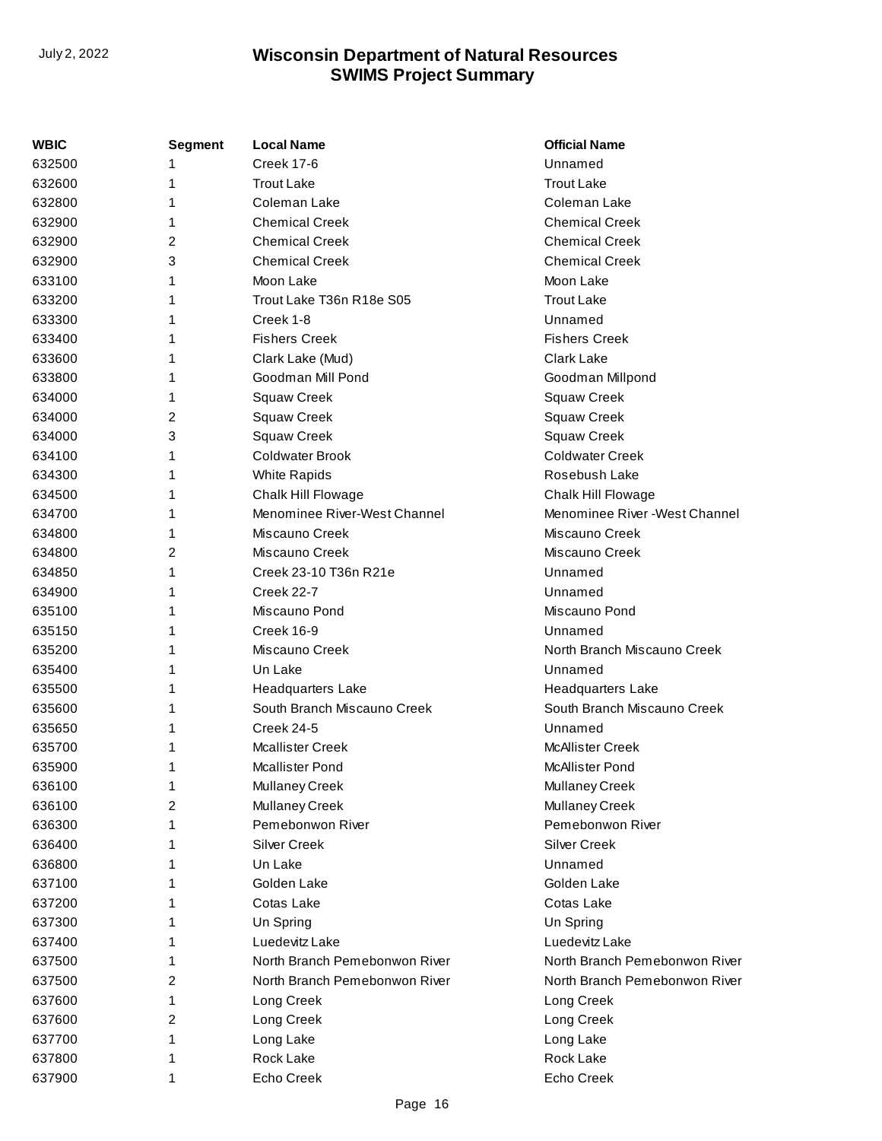| WBIC   | <b>Segment</b> | <b>Local Name</b>             | <b>Official Name</b>           |
|--------|----------------|-------------------------------|--------------------------------|
| 632500 |                | <b>Creek 17-6</b>             | Unnamed                        |
| 632600 | 1              | <b>Trout Lake</b>             | <b>Trout Lake</b>              |
| 632800 | 1              | Coleman Lake                  | Coleman Lake                   |
| 632900 | 1              | <b>Chemical Creek</b>         | <b>Chemical Creek</b>          |
| 632900 | 2              | <b>Chemical Creek</b>         | <b>Chemical Creek</b>          |
| 632900 | 3              | <b>Chemical Creek</b>         | <b>Chemical Creek</b>          |
| 633100 | 1              | Moon Lake                     | Moon Lake                      |
| 633200 | 1              | Trout Lake T36n R18e S05      | <b>Trout Lake</b>              |
| 633300 | 1              | Creek 1-8                     | Unnamed                        |
| 633400 | 1              | <b>Fishers Creek</b>          | <b>Fishers Creek</b>           |
| 633600 | 1              | Clark Lake (Mud)              | <b>Clark Lake</b>              |
| 633800 | 1              | Goodman Mill Pond             | Goodman Millpond               |
| 634000 | 1              | Squaw Creek                   | <b>Squaw Creek</b>             |
| 634000 | 2              | <b>Squaw Creek</b>            | Squaw Creek                    |
| 634000 | 3              | <b>Squaw Creek</b>            | <b>Squaw Creek</b>             |
| 634100 | 1              | <b>Coldwater Brook</b>        | <b>Coldwater Creek</b>         |
| 634300 | 1              | <b>White Rapids</b>           | Rosebush Lake                  |
| 634500 | 1              | Chalk Hill Flowage            | Chalk Hill Flowage             |
| 634700 | 1              | Menominee River-West Channel  | Menominee River - West Channel |
| 634800 | 1              | Miscauno Creek                | Miscauno Creek                 |
| 634800 | 2              | Miscauno Creek                | Miscauno Creek                 |
| 634850 | 1              | Creek 23-10 T36n R21e         | Unnamed                        |
| 634900 | 1              | <b>Creek 22-7</b>             | Unnamed                        |
| 635100 | 1              | Miscauno Pond                 | Miscauno Pond                  |
| 635150 | 1              | Creek 16-9                    | Unnamed                        |
| 635200 | 1              | Miscauno Creek                | North Branch Miscauno Creek    |
| 635400 | 1              | Un Lake                       | Unnamed                        |
| 635500 | 1              | <b>Headquarters Lake</b>      | <b>Headquarters Lake</b>       |
| 635600 | 1              | South Branch Miscauno Creek   | South Branch Miscauno Creek    |
| 635650 | 1              | <b>Creek 24-5</b>             | Unnamed                        |
| 635700 | 1              | <b>Mcallister Creek</b>       | <b>McAllister Creek</b>        |
| 635900 | 1              | <b>Mcallister Pond</b>        | <b>McAllister Pond</b>         |
| 636100 | 1              | <b>Mullaney Creek</b>         | <b>Mullaney Creek</b>          |
| 636100 | 2              | Mullaney Creek                | Mullaney Creek                 |
| 636300 | 1              | Pemebonwon River              | Pemebonwon River               |
| 636400 | 1              | Silver Creek                  | <b>Silver Creek</b>            |
| 636800 | 1              | Un Lake                       | Unnamed                        |
| 637100 | 1              | Golden Lake                   | Golden Lake                    |
| 637200 | 1              | Cotas Lake                    | Cotas Lake                     |
| 637300 | 1              | Un Spring                     | Un Spring                      |
| 637400 | 1              | Luedevitz Lake                | Luedevitz Lake                 |
| 637500 | 1              | North Branch Pemebonwon River | North Branch Pemebonwon River  |
| 637500 | 2              | North Branch Pemebonwon River | North Branch Pemebonwon River  |
| 637600 | 1              | Long Creek                    | Long Creek                     |
| 637600 | 2              | Long Creek                    | Long Creek                     |
| 637700 | 1              | Long Lake                     | Long Lake                      |
| 637800 | 1              | Rock Lake                     | Rock Lake                      |
| 637900 | 1              | Echo Creek                    | Echo Creek                     |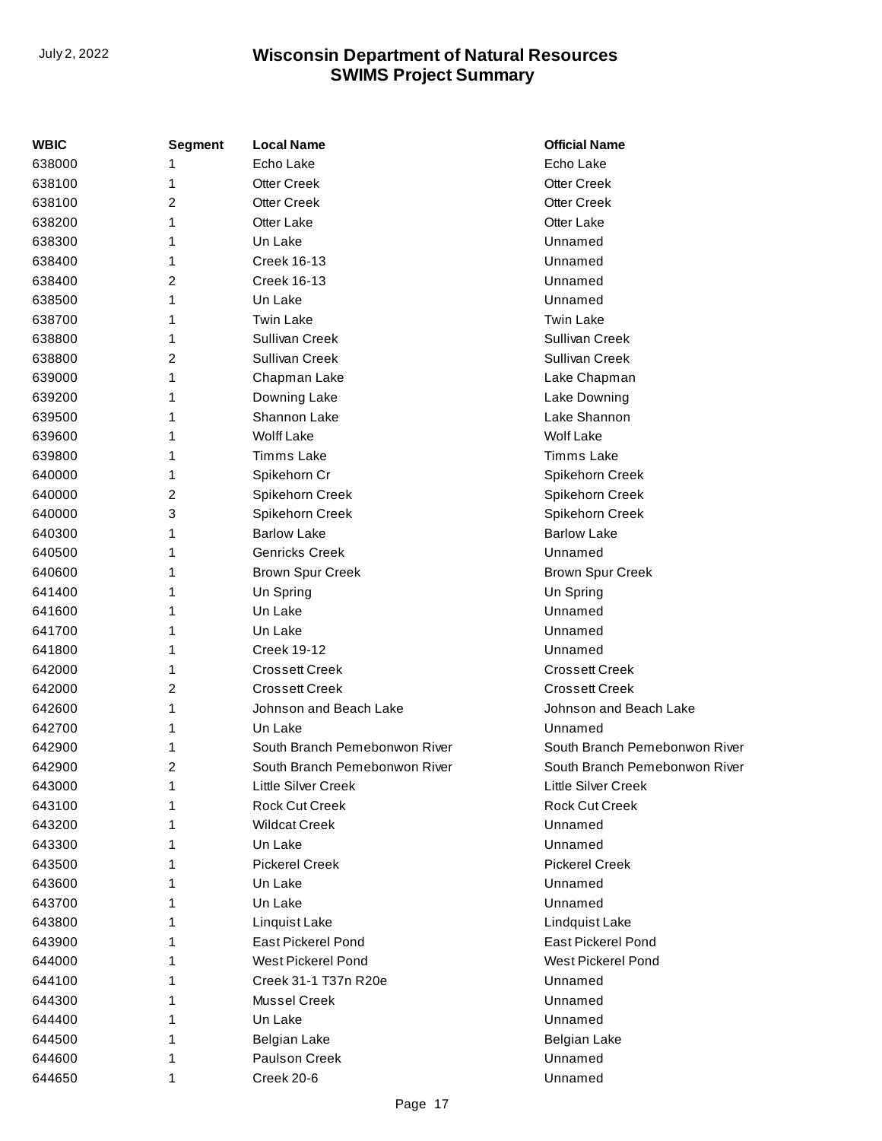| <b>WBIC</b> | <b>Segment</b> | <b>Local Name</b>             | <b>Official Name</b>          |
|-------------|----------------|-------------------------------|-------------------------------|
| 638000      |                | Echo Lake                     | Echo Lake                     |
| 638100      | 1              | <b>Otter Creek</b>            | <b>Otter Creek</b>            |
| 638100      | 2              | <b>Otter Creek</b>            | <b>Otter Creek</b>            |
| 638200      | 1              | Otter Lake                    | Otter Lake                    |
| 638300      | 1              | Un Lake                       | Unnamed                       |
| 638400      | 1              | <b>Creek 16-13</b>            | Unnamed                       |
| 638400      | 2              | <b>Creek 16-13</b>            | Unnamed                       |
| 638500      | 1              | Un Lake                       | Unnamed                       |
| 638700      | 1              | <b>Twin Lake</b>              | <b>Twin Lake</b>              |
| 638800      | 1              | Sullivan Creek                | Sullivan Creek                |
| 638800      | 2              | Sullivan Creek                | Sullivan Creek                |
| 639000      | 1              | Chapman Lake                  | Lake Chapman                  |
| 639200      | 1              | Downing Lake                  | Lake Downing                  |
| 639500      | 1              | Shannon Lake                  | Lake Shannon                  |
| 639600      | 1              | <b>Wolff Lake</b>             | <b>Wolf Lake</b>              |
| 639800      | 1              | <b>Timms Lake</b>             | Timms Lake                    |
| 640000      | 1              | Spikehorn Cr                  | Spikehorn Creek               |
| 640000      | 2              | Spikehorn Creek               | Spikehorn Creek               |
| 640000      | 3              | Spikehorn Creek               | Spikehorn Creek               |
| 640300      | 1              | <b>Barlow Lake</b>            | <b>Barlow Lake</b>            |
| 640500      | 1              | <b>Genricks Creek</b>         | Unnamed                       |
| 640600      | 1              | <b>Brown Spur Creek</b>       | <b>Brown Spur Creek</b>       |
| 641400      | 1              | Un Spring                     | Un Spring                     |
| 641600      | 1              | Un Lake                       | Unnamed                       |
| 641700      | 1              | Un Lake                       | Unnamed                       |
| 641800      | 1              | <b>Creek 19-12</b>            | Unnamed                       |
| 642000      | 1              | <b>Crossett Creek</b>         | <b>Crossett Creek</b>         |
| 642000      | 2              | <b>Crossett Creek</b>         | <b>Crossett Creek</b>         |
| 642600      | 1              | Johnson and Beach Lake        | Johnson and Beach Lake        |
| 642700      | 1              | Un Lake                       | Unnamed                       |
| 642900      | 1              | South Branch Pemebonwon River | South Branch Pemebonwon River |
| 642900      | 2              | South Branch Pemebonwon River | South Branch Pemebonwon River |
| 643000      | 1              | Little Silver Creek           | Little Silver Creek           |
| 643100      | 1              | <b>Rock Cut Creek</b>         | <b>Rock Cut Creek</b>         |
| 643200      | 1              | <b>Wildcat Creek</b>          | Unnamed                       |
| 643300      | 1              | Un Lake                       | Unnamed                       |
| 643500      | 1              | <b>Pickerel Creek</b>         | <b>Pickerel Creek</b>         |
| 643600      | 1              | Un Lake                       | Unnamed                       |
| 643700      | 1              | Un Lake                       | Unnamed                       |
| 643800      | 1              | Linquist Lake                 | Lindquist Lake                |
| 643900      | 1              | <b>East Pickerel Pond</b>     | <b>East Pickerel Pond</b>     |
| 644000      | 1              | West Pickerel Pond            | West Pickerel Pond            |
| 644100      | 1              | Creek 31-1 T37n R20e          | Unnamed                       |
| 644300      | 1              | Mussel Creek                  | Unnamed                       |
| 644400      | 1              | Un Lake                       | Unnamed                       |
| 644500      | 1              | <b>Belgian Lake</b>           | <b>Belgian Lake</b>           |
| 644600      | 1              | Paulson Creek                 | Unnamed                       |
| 644650      | 1              | Creek 20-6                    | Unnamed                       |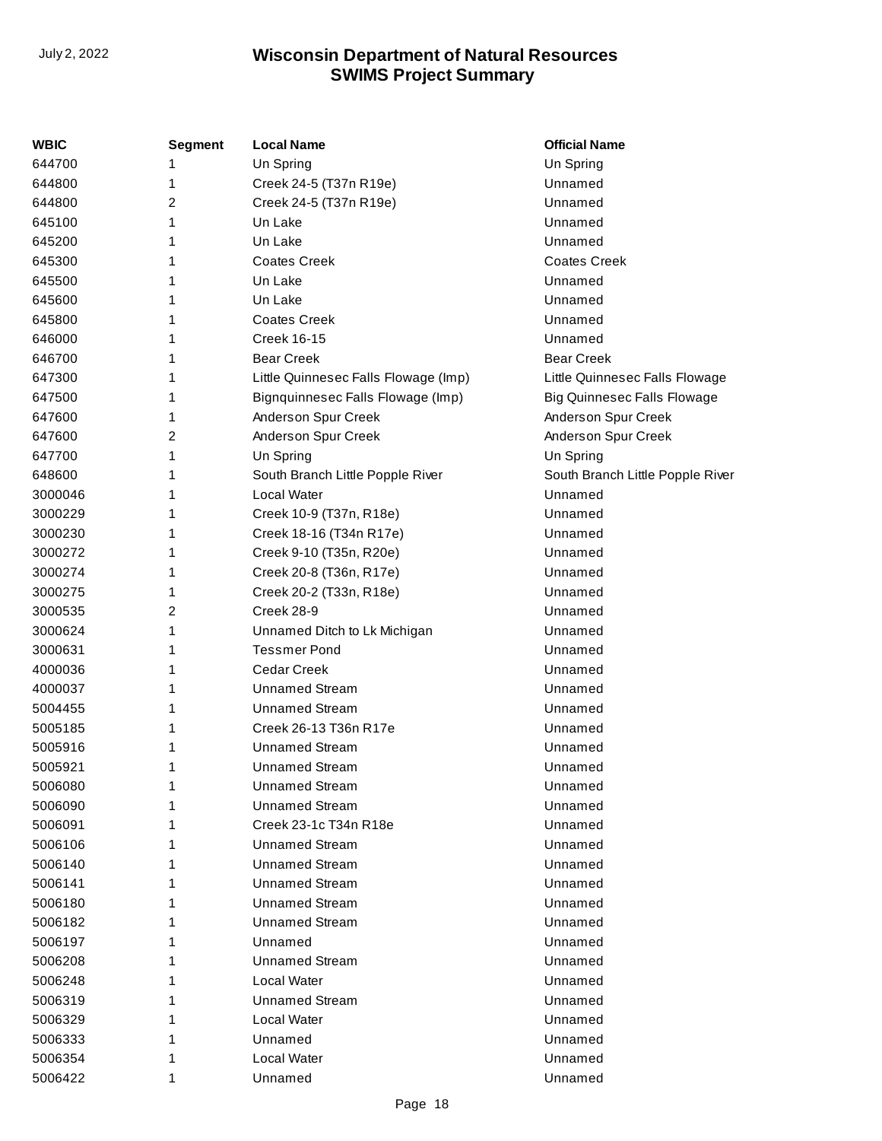| WBIC    | <b>Segment</b> | <b>Local Name</b>                    | <b>Official Name</b>               |
|---------|----------------|--------------------------------------|------------------------------------|
| 644700  | 1              | Un Spring                            | Un Spring                          |
| 644800  | 1              | Creek 24-5 (T37n R19e)               | Unnamed                            |
| 644800  | 2              | Creek 24-5 (T37n R19e)               | Unnamed                            |
| 645100  | 1              | Un Lake                              | Unnamed                            |
| 645200  | 1              | Un Lake                              | Unnamed                            |
| 645300  | 1              | <b>Coates Creek</b>                  | <b>Coates Creek</b>                |
| 645500  | 1              | Un Lake                              | Unnamed                            |
| 645600  | 1              | Un Lake                              | Unnamed                            |
| 645800  | 1              | <b>Coates Creek</b>                  | Unnamed                            |
| 646000  | 1              | <b>Creek 16-15</b>                   | Unnamed                            |
| 646700  | 1              | <b>Bear Creek</b>                    | <b>Bear Creek</b>                  |
| 647300  | 1              | Little Quinnesec Falls Flowage (Imp) | Little Quinnesec Falls Flowage     |
| 647500  | 1              | Bignquinnesec Falls Flowage (Imp)    | <b>Big Quinnesec Falls Flowage</b> |
| 647600  | 1              | Anderson Spur Creek                  | Anderson Spur Creek                |
| 647600  | 2              | Anderson Spur Creek                  | Anderson Spur Creek                |
| 647700  | 1              | Un Spring                            | Un Spring                          |
| 648600  | 1              | South Branch Little Popple River     | South Branch Little Popple River   |
| 3000046 | 1              | Local Water                          | Unnamed                            |
| 3000229 | 1              | Creek 10-9 (T37n, R18e)              | Unnamed                            |
| 3000230 | 1              | Creek 18-16 (T34n R17e)              | Unnamed                            |
| 3000272 | 1              | Creek 9-10 (T35n, R20e)              | Unnamed                            |
| 3000274 | 1              | Creek 20-8 (T36n, R17e)              | Unnamed                            |
| 3000275 | 1              | Creek 20-2 (T33n, R18e)              | Unnamed                            |
| 3000535 | 2              | Creek 28-9                           | Unnamed                            |
| 3000624 | 1              | Unnamed Ditch to Lk Michigan         | Unnamed                            |
| 3000631 | 1              | <b>Tessmer Pond</b>                  | Unnamed                            |
| 4000036 | 1              | <b>Cedar Creek</b>                   | Unnamed                            |
| 4000037 | 1              | <b>Unnamed Stream</b>                | Unnamed                            |
| 5004455 | 1              | <b>Unnamed Stream</b>                | Unnamed                            |
| 5005185 | 1              | Creek 26-13 T36n R17e                | Unnamed                            |
| 5005916 | 1              | <b>Unnamed Stream</b>                | Unnamed                            |
| 5005921 | 1              | <b>Unnamed Stream</b>                | Unnamed                            |
| 5006080 |                | <b>Unnamed Stream</b>                | Unnamed                            |
| 5006090 |                | <b>Unnamed Stream</b>                | Unnamed                            |
| 5006091 |                | Creek 23-1c T34n R18e                | Unnamed                            |
| 5006106 |                | <b>Unnamed Stream</b>                | Unnamed                            |
| 5006140 |                | Unnamed Stream                       | Unnamed                            |
| 5006141 |                | <b>Unnamed Stream</b>                | Unnamed                            |
| 5006180 |                | <b>Unnamed Stream</b>                | Unnamed                            |
| 5006182 |                | <b>Unnamed Stream</b>                | Unnamed                            |
| 5006197 |                | Unnamed                              | Unnamed                            |
| 5006208 | 1              | Unnamed Stream                       | Unnamed                            |
| 5006248 |                | Local Water                          | Unnamed                            |
| 5006319 |                | <b>Unnamed Stream</b>                | Unnamed                            |
| 5006329 |                | Local Water                          | Unnamed                            |
| 5006333 |                | Unnamed                              | Unnamed                            |
| 5006354 | 1              | Local Water                          | Unnamed                            |
| 5006422 | 1              | Unnamed                              | Unnamed                            |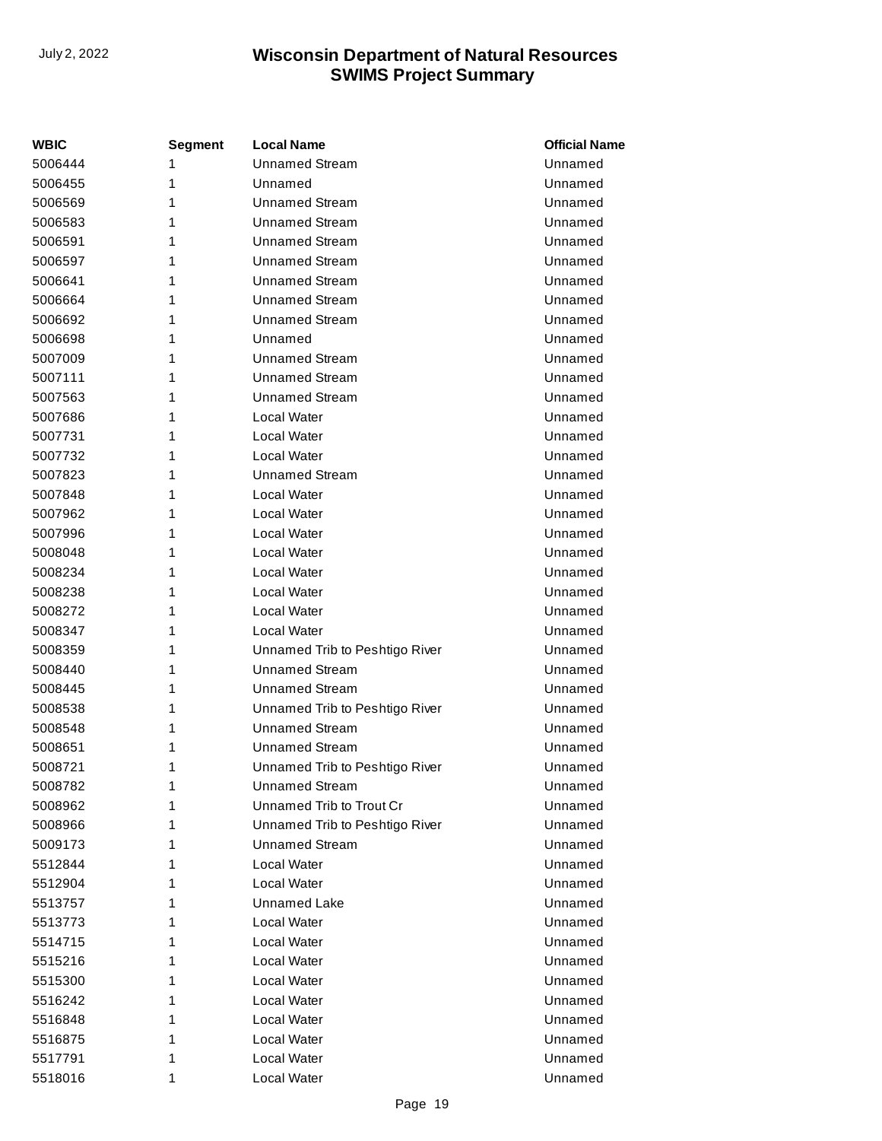| <b>WBIC</b> | Segment | <b>Local Name</b>              | <b>Official Name</b> |
|-------------|---------|--------------------------------|----------------------|
| 5006444     | 1       | <b>Unnamed Stream</b>          | Unnamed              |
| 5006455     | 1       | Unnamed                        | Unnamed              |
| 5006569     | 1       | <b>Unnamed Stream</b>          | Unnamed              |
| 5006583     | 1       | <b>Unnamed Stream</b>          | Unnamed              |
| 5006591     | 1       | <b>Unnamed Stream</b>          | Unnamed              |
| 5006597     | 1       | <b>Unnamed Stream</b>          | Unnamed              |
| 5006641     | 1       | <b>Unnamed Stream</b>          | Unnamed              |
| 5006664     | 1       | <b>Unnamed Stream</b>          | Unnamed              |
| 5006692     | 1       | <b>Unnamed Stream</b>          | Unnamed              |
| 5006698     | 1       | Unnamed                        | Unnamed              |
| 5007009     | 1       | <b>Unnamed Stream</b>          | Unnamed              |
| 5007111     | 1       | <b>Unnamed Stream</b>          | Unnamed              |
| 5007563     | 1       | <b>Unnamed Stream</b>          | Unnamed              |
| 5007686     | 1       | Local Water                    | Unnamed              |
| 5007731     | 1       | Local Water                    | Unnamed              |
| 5007732     | 1       | Local Water                    | Unnamed              |
| 5007823     | 1       | <b>Unnamed Stream</b>          | Unnamed              |
| 5007848     | 1       | Local Water                    | Unnamed              |
| 5007962     | 1       | Local Water                    | Unnamed              |
| 5007996     | 1       | Local Water                    | Unnamed              |
| 5008048     | 1       | Local Water                    | Unnamed              |
| 5008234     | 1       | Local Water                    | Unnamed              |
| 5008238     | 1       | Local Water                    | Unnamed              |
| 5008272     | 1       | Local Water                    | Unnamed              |
| 5008347     | 1       | Local Water                    | Unnamed              |
| 5008359     | 1       | Unnamed Trib to Peshtigo River | Unnamed              |
| 5008440     | 1       | <b>Unnamed Stream</b>          | Unnamed              |
| 5008445     | 1       | <b>Unnamed Stream</b>          | Unnamed              |
| 5008538     | 1       | Unnamed Trib to Peshtigo River | Unnamed              |
| 5008548     | 1       | <b>Unnamed Stream</b>          | Unnamed              |
| 5008651     | 1       | <b>Unnamed Stream</b>          | Unnamed              |
| 5008721     | 1       | Unnamed Trib to Peshtigo River | Unnamed              |
| 5008782     | 1       | <b>Unnamed Stream</b>          | Unnamed              |
| 5008962     | 1       | Unnamed Trib to Trout Cr       | Unnamed              |
| 5008966     | 1       | Unnamed Trib to Peshtigo River | Unnamed              |
| 5009173     | 1       | <b>Unnamed Stream</b>          | Unnamed              |
| 5512844     | 1       | Local Water                    | Unnamed              |
| 5512904     | 1       | Local Water                    | Unnamed              |
| 5513757     | 1       | Unnamed Lake                   | Unnamed              |
| 5513773     | 1       | Local Water                    | Unnamed              |
| 5514715     | 1       | Local Water                    | Unnamed              |
| 5515216     | 1       | Local Water                    | Unnamed              |
| 5515300     | 1       | Local Water                    | Unnamed              |
| 5516242     | 1       | Local Water                    | Unnamed              |
| 5516848     | 1       | Local Water                    | Unnamed              |
| 5516875     | 1       | Local Water                    | Unnamed              |
| 5517791     | 1       | Local Water                    | Unnamed              |
| 5518016     | 1       | Local Water                    | Unnamed              |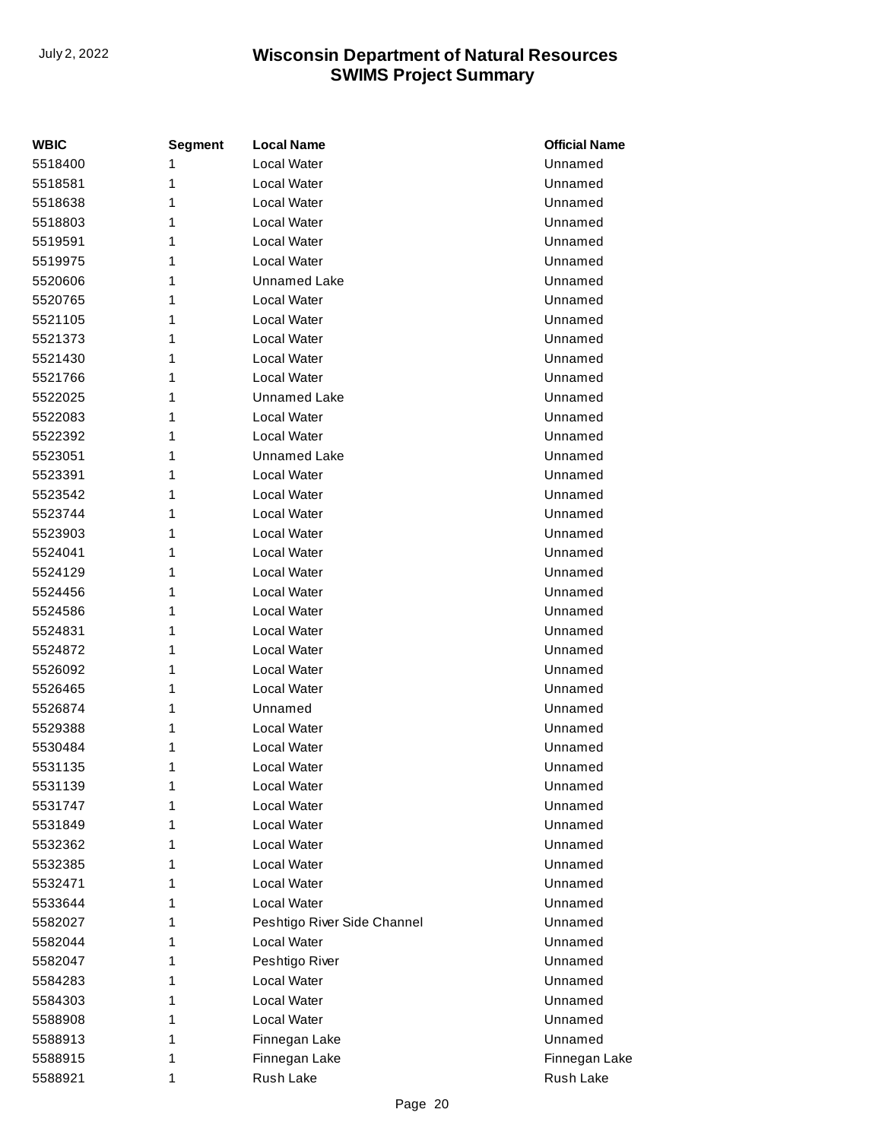| WBIC    | Segment | <b>Local Name</b>           | <b>Official Name</b> |
|---------|---------|-----------------------------|----------------------|
| 5518400 | 1       | <b>Local Water</b>          | Unnamed              |
| 5518581 | 1       | <b>Local Water</b>          | Unnamed              |
| 5518638 | 1       | <b>Local Water</b>          | Unnamed              |
| 5518803 | 1       | <b>Local Water</b>          | Unnamed              |
| 5519591 | 1       | Local Water                 | Unnamed              |
| 5519975 | 1       | <b>Local Water</b>          | Unnamed              |
| 5520606 | 1       | <b>Unnamed Lake</b>         | Unnamed              |
| 5520765 | 1       | <b>Local Water</b>          | Unnamed              |
| 5521105 | 1       | <b>Local Water</b>          | Unnamed              |
| 5521373 | 1       | <b>Local Water</b>          | Unnamed              |
| 5521430 | 1       | <b>Local Water</b>          | Unnamed              |
| 5521766 | 1       | Local Water                 | Unnamed              |
| 5522025 | 1       | Unnamed Lake                | Unnamed              |
| 5522083 | 1       | <b>Local Water</b>          | Unnamed              |
| 5522392 | 1       | <b>Local Water</b>          | Unnamed              |
| 5523051 | 1       | Unnamed Lake                | Unnamed              |
| 5523391 | 1       | <b>Local Water</b>          | Unnamed              |
| 5523542 | 1       | <b>Local Water</b>          | Unnamed              |
| 5523744 | 1       | <b>Local Water</b>          | Unnamed              |
| 5523903 | 1       | <b>Local Water</b>          | Unnamed              |
| 5524041 | 1       | Local Water                 | Unnamed              |
| 5524129 | 1       | <b>Local Water</b>          | Unnamed              |
| 5524456 | 1       | <b>Local Water</b>          | Unnamed              |
| 5524586 | 1       | <b>Local Water</b>          | Unnamed              |
| 5524831 | 1       | <b>Local Water</b>          | Unnamed              |
| 5524872 | 1       | <b>Local Water</b>          | Unnamed              |
| 5526092 | 1       | <b>Local Water</b>          | Unnamed              |
| 5526465 | 1       | Local Water                 | Unnamed              |
| 5526874 | 1       | Unnamed                     | Unnamed              |
| 5529388 | 1       | <b>Local Water</b>          | Unnamed              |
| 5530484 | 1       | Local Water                 | Unnamed              |
| 5531135 | 1       | Local Water                 | Unnamed              |
| 5531139 | 1       | Local Water                 | Unnamed              |
| 5531747 | 1       | Local Water                 | Unnamed              |
| 5531849 | 1       | Local Water                 | Unnamed              |
| 5532362 | 1       | <b>Local Water</b>          | Unnamed              |
| 5532385 | 1       | <b>Local Water</b>          | Unnamed              |
| 5532471 | 1       | <b>Local Water</b>          | Unnamed              |
| 5533644 | 1       | <b>Local Water</b>          | Unnamed              |
| 5582027 | 1       | Peshtigo River Side Channel | Unnamed              |
| 5582044 | 1       | Local Water                 | Unnamed              |
| 5582047 | 1       | Peshtigo River              | Unnamed              |
| 5584283 | 1       | Local Water                 | Unnamed              |
| 5584303 | 1       | <b>Local Water</b>          | Unnamed              |
| 5588908 | 1       | Local Water                 | Unnamed              |
| 5588913 | 1       | Finnegan Lake               | Unnamed              |
| 5588915 | 1       | Finnegan Lake               | Finnegan Lake        |
| 5588921 | 1       | <b>Rush Lake</b>            | Rush Lake            |